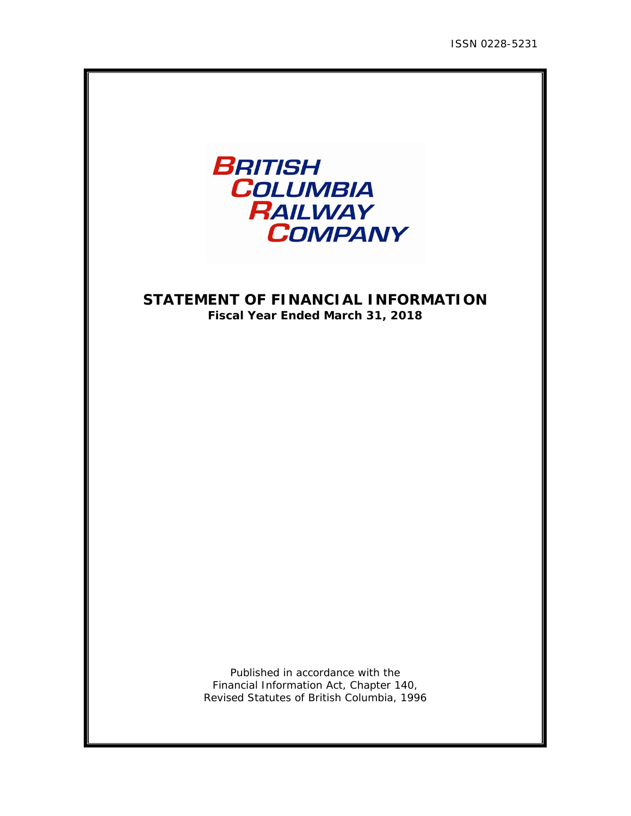

# **STATEMENT OF FINANCIAL INFORMATION Fiscal Year Ended March 31, 2018**

Published in accordance with the Financial Information Act, Chapter 140, Revised Statutes of British Columbia, 1996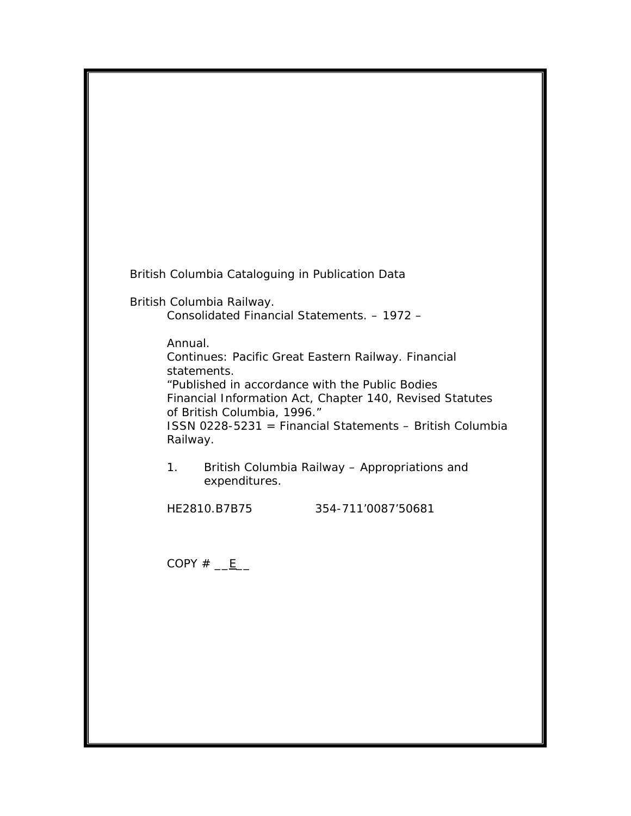British Columbia Cataloguing in Publication Data

British Columbia Railway.

Consolidated Financial Statements. – 1972 –

Annual.

Continues: Pacific Great Eastern Railway. Financial statements.

"Published in accordance with the Public Bodies Financial Information Act, Chapter 140, Revised Statutes of British Columbia, 1996."

ISSN 0228-5231 = Financial Statements – British Columbia Railway.

1. British Columbia Railway – Appropriations and expenditures.

HE2810.B7B75 354-711'0087'50681

COPY  $\#$   $E$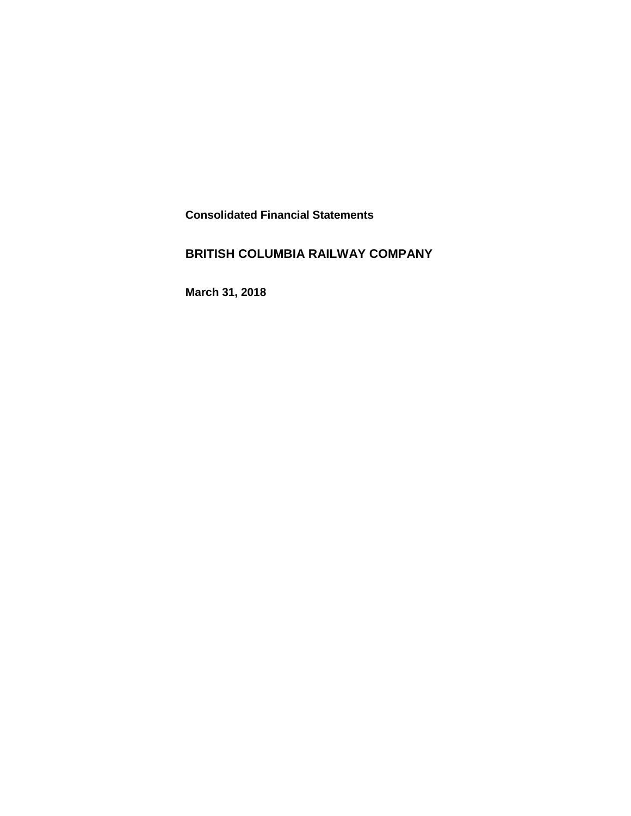**Consolidated Financial Statements** 

# **BRITISH COLUMBIA RAILWAY COMPANY**

**March 31, 2018**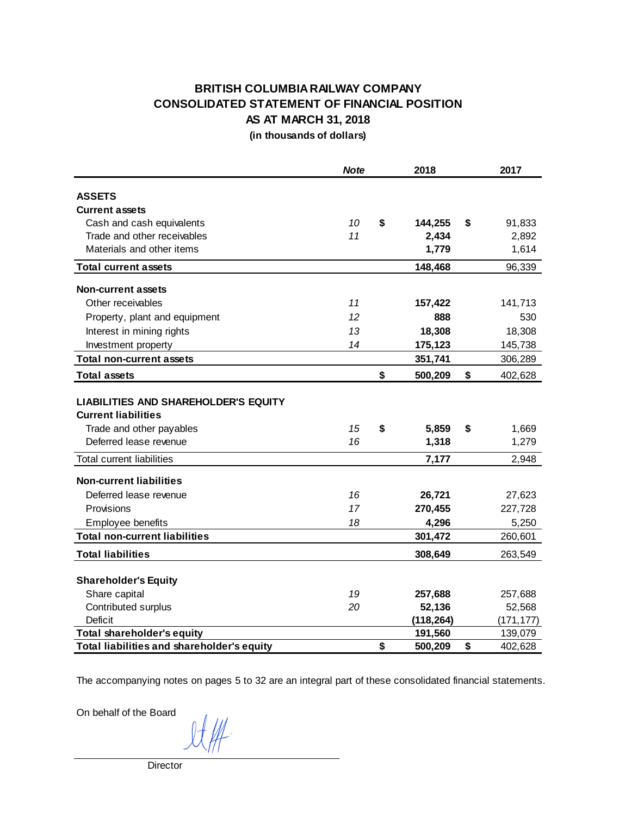# **BRITISH COLUMBIA RAILWAY COMPANY CONSOLIDATED STATEMENT OF FINANCIAL POSITION AS AT MARCH 31, 2018**

**(in thousands of dollars)**

|                                                    | <b>Note</b> | 2018                 | 2017                 |
|----------------------------------------------------|-------------|----------------------|----------------------|
| <b>ASSETS</b>                                      |             |                      |                      |
| <b>Current assets</b>                              |             |                      |                      |
| Cash and cash equivalents                          | 10          | \$<br>144,255        | \$<br>91,833         |
| Trade and other receivables                        | 11          | 2,434                | 2,892                |
| Materials and other items                          |             | 1,779                | 1,614                |
| <b>Total current assets</b>                        |             | 148,468              | 96,339               |
| <b>Non-current assets</b>                          |             |                      |                      |
| Other receivables                                  | 11          | 157,422              | 141,713              |
| Property, plant and equipment                      | 12          | 888                  | 530                  |
| Interest in mining rights                          | 13          | 18,308               | 18,308               |
| Investment property                                | 14          | 175,123              | 145,738              |
| <b>Total non-current assets</b>                    |             | 351,741              | 306,289              |
| <b>Total assets</b>                                |             | \$<br>500,209        | \$<br>402,628        |
| Trade and other payables<br>Deferred lease revenue | 15<br>16    | \$<br>5,859<br>1,318 | \$<br>1,669<br>1,279 |
|                                                    |             |                      |                      |
| Total current liabilities                          |             | 7,177                | 2,948                |
| <b>Non-current liabilities</b>                     |             |                      |                      |
| Deferred lease revenue                             | 16          | 26,721               | 27,623               |
| Provisions                                         | 17          | 270,455              | 227,728              |
| Employee benefits                                  | 18          | 4,296                | 5,250                |
| <b>Total non-current liabilities</b>               |             | 301,472              | 260,601              |
| <b>Total liabilities</b>                           |             | 308,649              | 263,549              |
| <b>Shareholder's Equity</b>                        |             |                      |                      |
| Share capital                                      | 19          | 257,688              | 257,688              |
| Contributed surplus                                | 20          | 52,136               | 52,568               |
| <b>Deficit</b>                                     |             | (118, 264)           | (171, 177)           |
| <b>Total shareholder's equity</b>                  |             | 191,560              | 139,079              |
| Total liabilities and shareholder's equity         |             | \$<br>500,209        | \$<br>402,628        |

The accompanying notes on pages 5 to 32 are an integral part of these consolidated financial statements.

On behalf of the Board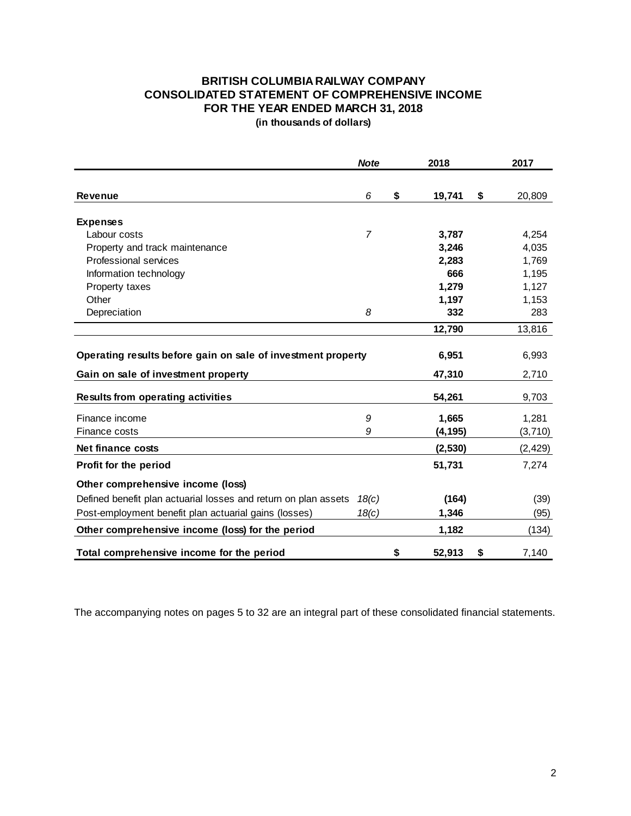# **BRITISH COLUMBIA RAILWAY COMPANY CONSOLIDATED STATEMENT OF COMPREHENSIVE INCOME FOR THE YEAR ENDED MARCH 31, 2018**

**(in thousands of dollars)**

|                                                                                                     | <b>Note</b> | 2018               | 2017           |
|-----------------------------------------------------------------------------------------------------|-------------|--------------------|----------------|
| <b>Revenue</b>                                                                                      | 6           | \$<br>19,741<br>\$ | 20,809         |
| <b>Expenses</b>                                                                                     |             |                    |                |
| Labour costs                                                                                        | 7           | 3,787              | 4,254          |
| Property and track maintenance                                                                      |             | 3,246              | 4,035          |
| Professional services                                                                               |             | 2,283              | 1,769          |
| Information technology                                                                              |             | 666                | 1,195          |
| Property taxes                                                                                      |             | 1,279              | 1,127          |
| Other                                                                                               |             | 1,197              | 1,153          |
| Depreciation                                                                                        | 8           | 332                | 283            |
|                                                                                                     |             | 12,790             | 13,816         |
| Operating results before gain on sale of investment property<br>Gain on sale of investment property |             | 6,951<br>47,310    | 6,993<br>2,710 |
| <b>Results from operating activities</b>                                                            |             | 54,261             | 9,703          |
| Finance income<br>Finance costs                                                                     | 9<br>9      | 1,665<br>(4, 195)  | 1,281          |
|                                                                                                     |             |                    | (3,710)        |
| Net finance costs                                                                                   |             | (2,530)            | (2, 429)       |
| Profit for the period                                                                               |             | 51,731             | 7,274          |
| Other comprehensive income (loss)                                                                   |             |                    |                |
| Defined benefit plan actuarial losses and return on plan assets                                     | 18(c)       | (164)              | (39)           |
| Post-employment benefit plan actuarial gains (losses)                                               | 18(c)       | 1,346              | (95)           |
| Other comprehensive income (loss) for the period                                                    |             | 1,182              | (134)          |
| Total comprehensive income for the period                                                           |             | \$<br>52,913<br>\$ | 7,140          |

The accompanying notes on pages 5 to 32 are an integral part of these consolidated financial statements.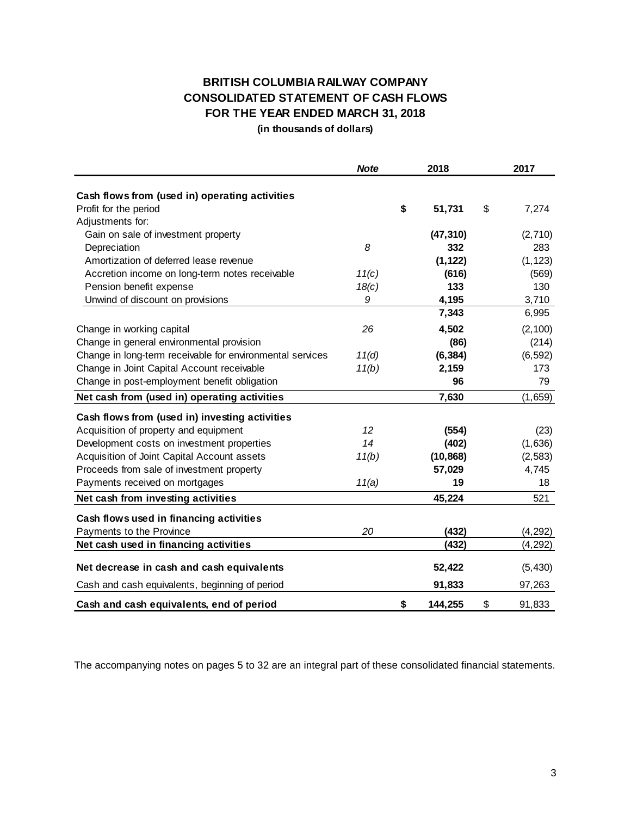# **BRITISH COLUMBIA RAILWAY COMPANY CONSOLIDATED STATEMENT OF CASH FLOWS FOR THE YEAR ENDED MARCH 31, 2018**

**(in thousands of dollars)**

|                                                           | <b>Note</b> | 2018          | 2017         |
|-----------------------------------------------------------|-------------|---------------|--------------|
| Cash flows from (used in) operating activities            |             |               |              |
| Profit for the period                                     |             | \$<br>51,731  | \$<br>7,274  |
| Adjustments for:                                          |             |               |              |
| Gain on sale of investment property                       |             | (47, 310)     | (2,710)      |
| Depreciation                                              | 8           | 332           | 283          |
| Amortization of deferred lease revenue                    |             | (1, 122)      | (1, 123)     |
| Accretion income on long-term notes receivable            | 11(c)       | (616)         | (569)        |
| Pension benefit expense                                   | 18(c)       | 133           | 130          |
| Unwind of discount on provisions                          | 9           | 4,195         | 3,710        |
|                                                           |             | 7,343         | 6,995        |
| Change in working capital                                 | 26          | 4,502         | (2, 100)     |
| Change in general environmental provision                 |             | (86)          | (214)        |
| Change in long-term receivable for environmental services | 11(d)       | (6, 384)      | (6, 592)     |
| Change in Joint Capital Account receivable                | 11(b)       | 2,159         | 173          |
| Change in post-employment benefit obligation              |             | 96            | 79           |
| Net cash from (used in) operating activities              |             | 7,630         | (1,659)      |
| Cash flows from (used in) investing activities            |             |               |              |
| Acquisition of property and equipment                     | 12          | (554)         | (23)         |
| Development costs on investment properties                | 14          | (402)         | (1,636)      |
| Acquisition of Joint Capital Account assets               | 11(b)       | (10, 868)     | (2, 583)     |
| Proceeds from sale of investment property                 |             | 57,029        | 4,745        |
| Payments received on mortgages                            | 11(a)       | 19            | 18           |
| Net cash from investing activities                        |             | 45,224        | 521          |
| Cash flows used in financing activities                   |             |               |              |
| Payments to the Province                                  | 20          | (432)         | (4, 292)     |
| Net cash used in financing activities                     |             | (432)         | (4, 292)     |
|                                                           |             |               |              |
| Net decrease in cash and cash equivalents                 |             | 52,422        | (5, 430)     |
| Cash and cash equivalents, beginning of period            |             | 91,833        | 97,263       |
| Cash and cash equivalents, end of period                  |             | \$<br>144,255 | \$<br>91,833 |

The accompanying notes on pages 5 to 32 are an integral part of these consolidated financial statements.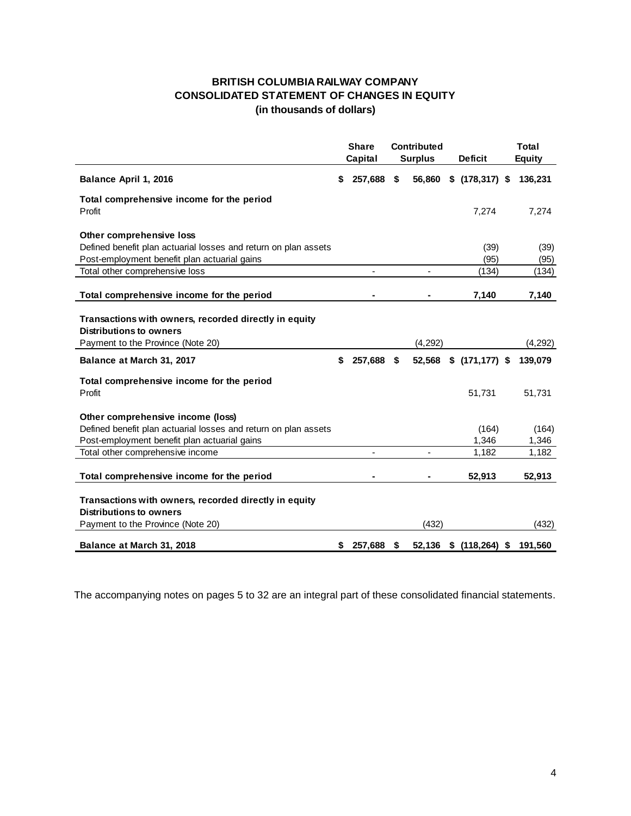# **BRITISH COLUMBIA RAILWAY COMPANY CONSOLIDATED STATEMENT OF CHANGES IN EQUITY (in thousands of dollars)**

|                                                                                         | <b>Share</b><br>Capital |      | <b>Contributed</b><br><b>Surplus</b> | <b>Deficit</b>    | <b>Total</b><br><b>Equity</b> |
|-----------------------------------------------------------------------------------------|-------------------------|------|--------------------------------------|-------------------|-------------------------------|
| Balance April 1, 2016                                                                   | \$<br>257,688           | Ŝ.   | 56,860                               | $$$ (178,317) \$  | 136,231                       |
| Total comprehensive income for the period                                               |                         |      |                                      |                   |                               |
| Profit                                                                                  |                         |      |                                      | 7,274             | 7,274                         |
| Other comprehensive loss                                                                |                         |      |                                      |                   |                               |
| Defined benefit plan actuarial losses and return on plan assets                         |                         |      |                                      | (39)              | (39)                          |
| Post-employment benefit plan actuarial gains                                            |                         |      |                                      | (95)              | (95)                          |
| Total other comprehensive loss                                                          | ÷                       |      |                                      | (134)             | (134)                         |
| Total comprehensive income for the period                                               |                         |      |                                      | 7,140             | 7,140                         |
|                                                                                         |                         |      |                                      |                   |                               |
| Transactions with owners, recorded directly in equity<br><b>Distributions to owners</b> |                         |      |                                      |                   |                               |
| Payment to the Province (Note 20)                                                       |                         |      | (4, 292)                             |                   | (4,292)                       |
| Balance at March 31, 2017                                                               | \$<br>257,688           | - \$ | 52,568                               | $$$ (171,177) $$$ | 139,079                       |
| Total comprehensive income for the period                                               |                         |      |                                      |                   |                               |
| Profit                                                                                  |                         |      |                                      | 51,731            | 51,731                        |
|                                                                                         |                         |      |                                      |                   |                               |
| Other comprehensive income (loss)                                                       |                         |      |                                      |                   |                               |
| Defined benefit plan actuarial losses and return on plan assets                         |                         |      |                                      | (164)             | (164)                         |
| Post-employment benefit plan actuarial gains                                            |                         |      |                                      | 1,346             | 1,346                         |
| Total other comprehensive income                                                        | ÷                       |      |                                      | 1,182             | 1,182                         |
| Total comprehensive income for the period                                               |                         |      |                                      | 52,913            | 52,913                        |
| Transactions with owners, recorded directly in equity                                   |                         |      |                                      |                   |                               |
| <b>Distributions to owners</b>                                                          |                         |      |                                      |                   |                               |
| Payment to the Province (Note 20)                                                       |                         |      | (432)                                |                   | (432)                         |
| Balance at March 31, 2018                                                               | \$<br>257,688           | \$   | 52,136                               | $$(118, 264)$ \$  | 191,560                       |

The accompanying notes on pages 5 to 32 are an integral part of these consolidated financial statements.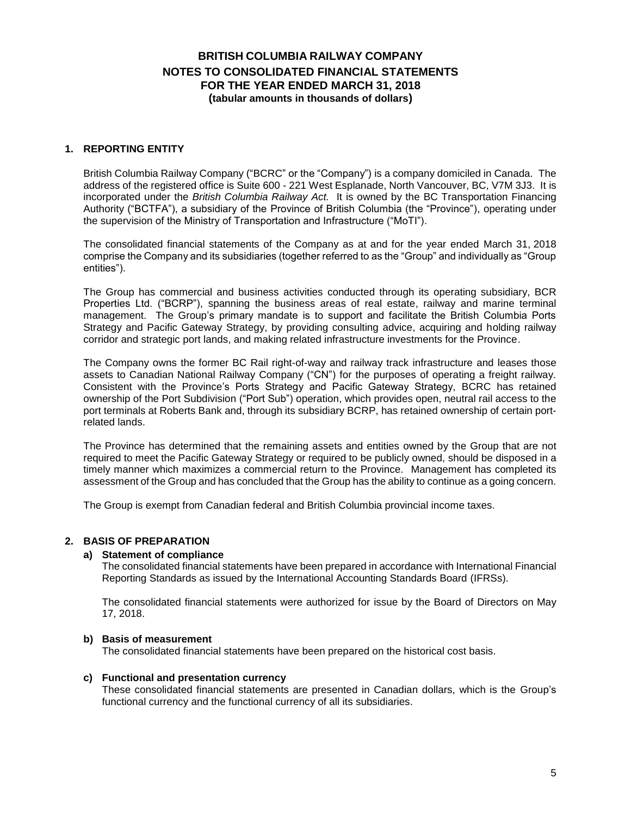#### **1. REPORTING ENTITY**

British Columbia Railway Company ("BCRC" or the "Company") is a company domiciled in Canada. The address of the registered office is Suite 600 - 221 West Esplanade, North Vancouver, BC, V7M 3J3. It is incorporated under the *British Columbia Railway Act.* It is owned by the BC Transportation Financing Authority ("BCTFA"), a subsidiary of the Province of British Columbia (the "Province"), operating under the supervision of the Ministry of Transportation and Infrastructure ("MoTI").

The consolidated financial statements of the Company as at and for the year ended March 31, 2018 comprise the Company and its subsidiaries (together referred to as the "Group" and individually as "Group entities").

The Group has commercial and business activities conducted through its operating subsidiary, BCR Properties Ltd. ("BCRP"), spanning the business areas of real estate, railway and marine terminal management. The Group's primary mandate is to support and facilitate the British Columbia Ports Strategy and Pacific Gateway Strategy, by providing consulting advice, acquiring and holding railway corridor and strategic port lands, and making related infrastructure investments for the Province.

The Company owns the former BC Rail right-of-way and railway track infrastructure and leases those assets to Canadian National Railway Company ("CN") for the purposes of operating a freight railway. Consistent with the Province's Ports Strategy and Pacific Gateway Strategy, BCRC has retained ownership of the Port Subdivision ("Port Sub") operation, which provides open, neutral rail access to the port terminals at Roberts Bank and, through its subsidiary BCRP, has retained ownership of certain portrelated lands.

The Province has determined that the remaining assets and entities owned by the Group that are not required to meet the Pacific Gateway Strategy or required to be publicly owned, should be disposed in a timely manner which maximizes a commercial return to the Province. Management has completed its assessment of the Group and has concluded that the Group has the ability to continue as a going concern.

The Group is exempt from Canadian federal and British Columbia provincial income taxes.

#### **2. BASIS OF PREPARATION**

#### **a) Statement of compliance**

The consolidated financial statements have been prepared in accordance with International Financial Reporting Standards as issued by the International Accounting Standards Board (IFRSs).

The consolidated financial statements were authorized for issue by the Board of Directors on May 17, 2018.

#### **b) Basis of measurement**

The consolidated financial statements have been prepared on the historical cost basis.

#### **c) Functional and presentation currency**

These consolidated financial statements are presented in Canadian dollars, which is the Group's functional currency and the functional currency of all its subsidiaries.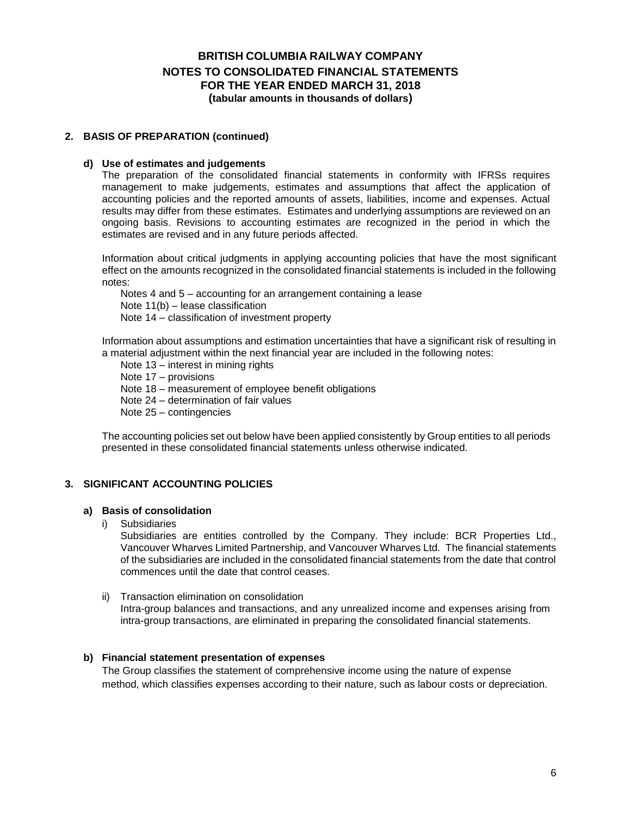## **2. BASIS OF PREPARATION (continued)**

#### **d) Use of estimates and judgements**

The preparation of the consolidated financial statements in conformity with IFRSs requires management to make judgements, estimates and assumptions that affect the application of accounting policies and the reported amounts of assets, liabilities, income and expenses. Actual results may differ from these estimates. Estimates and underlying assumptions are reviewed on an ongoing basis. Revisions to accounting estimates are recognized in the period in which the estimates are revised and in any future periods affected.

Information about critical judgments in applying accounting policies that have the most significant effect on the amounts recognized in the consolidated financial statements is included in the following notes:

Notes 4 and 5 – accounting for an arrangement containing a lease

Note 11(b) – lease classification

Note 14 – classification of investment property

Information about assumptions and estimation uncertainties that have a significant risk of resulting in a material adjustment within the next financial year are included in the following notes:

- Note 13 interest in mining rights
- Note 17 provisions
- Note 18 measurement of employee benefit obligations
- Note 24 determination of fair values
- Note 25 contingencies

The accounting policies set out below have been applied consistently by Group entities to all periods presented in these consolidated financial statements unless otherwise indicated.

## **3. SIGNIFICANT ACCOUNTING POLICIES**

#### **a) Basis of consolidation**

i) Subsidiaries

Subsidiaries are entities controlled by the Company. They include: BCR Properties Ltd., Vancouver Wharves Limited Partnership, and Vancouver Wharves Ltd. The financial statements of the subsidiaries are included in the consolidated financial statements from the date that control commences until the date that control ceases.

ii) Transaction elimination on consolidation

Intra-group balances and transactions, and any unrealized income and expenses arising from intra-group transactions, are eliminated in preparing the consolidated financial statements.

## **b) Financial statement presentation of expenses**

The Group classifies the statement of comprehensive income using the nature of expense method, which classifies expenses according to their nature, such as labour costs or depreciation.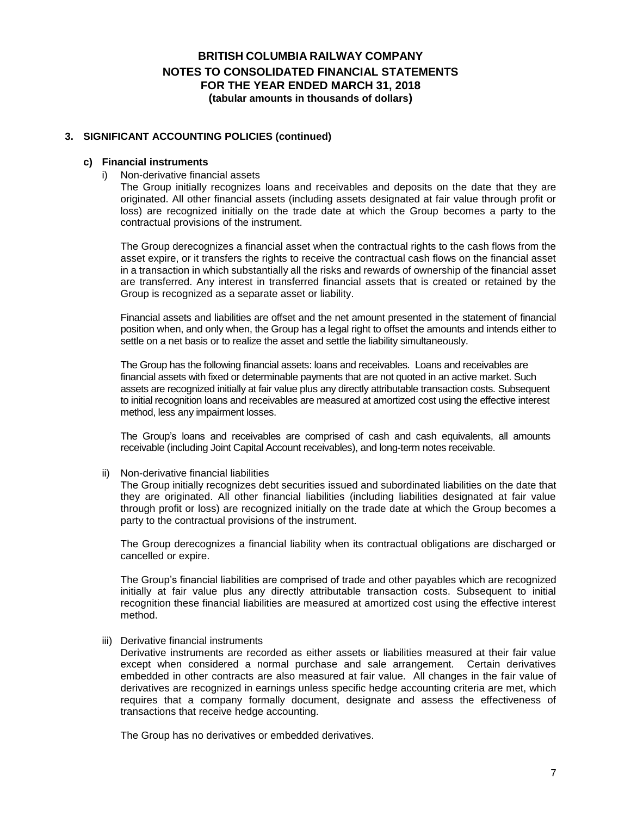### **3. SIGNIFICANT ACCOUNTING POLICIES (continued)**

#### **c) Financial instruments**

i) Non-derivative financial assets

The Group initially recognizes loans and receivables and deposits on the date that they are originated. All other financial assets (including assets designated at fair value through profit or loss) are recognized initially on the trade date at which the Group becomes a party to the contractual provisions of the instrument.

The Group derecognizes a financial asset when the contractual rights to the cash flows from the asset expire, or it transfers the rights to receive the contractual cash flows on the financial asset in a transaction in which substantially all the risks and rewards of ownership of the financial asset are transferred. Any interest in transferred financial assets that is created or retained by the Group is recognized as a separate asset or liability.

Financial assets and liabilities are offset and the net amount presented in the statement of financial position when, and only when, the Group has a legal right to offset the amounts and intends either to settle on a net basis or to realize the asset and settle the liability simultaneously.

The Group has the following financial assets: loans and receivables. Loans and receivables are financial assets with fixed or determinable payments that are not quoted in an active market. Such assets are recognized initially at fair value plus any directly attributable transaction costs. Subsequent to initial recognition loans and receivables are measured at amortized cost using the effective interest method, less any impairment losses.

The Group's loans and receivables are comprised of cash and cash equivalents, all amounts receivable (including Joint Capital Account receivables), and long-term notes receivable.

ii) Non-derivative financial liabilities

The Group initially recognizes debt securities issued and subordinated liabilities on the date that they are originated. All other financial liabilities (including liabilities designated at fair value through profit or loss) are recognized initially on the trade date at which the Group becomes a party to the contractual provisions of the instrument.

The Group derecognizes a financial liability when its contractual obligations are discharged or cancelled or expire.

The Group's financial liabilities are comprised of trade and other payables which are recognized initially at fair value plus any directly attributable transaction costs. Subsequent to initial recognition these financial liabilities are measured at amortized cost using the effective interest method.

iii) Derivative financial instruments

Derivative instruments are recorded as either assets or liabilities measured at their fair value except when considered a normal purchase and sale arrangement. Certain derivatives embedded in other contracts are also measured at fair value. All changes in the fair value of derivatives are recognized in earnings unless specific hedge accounting criteria are met, which requires that a company formally document, designate and assess the effectiveness of transactions that receive hedge accounting.

The Group has no derivatives or embedded derivatives.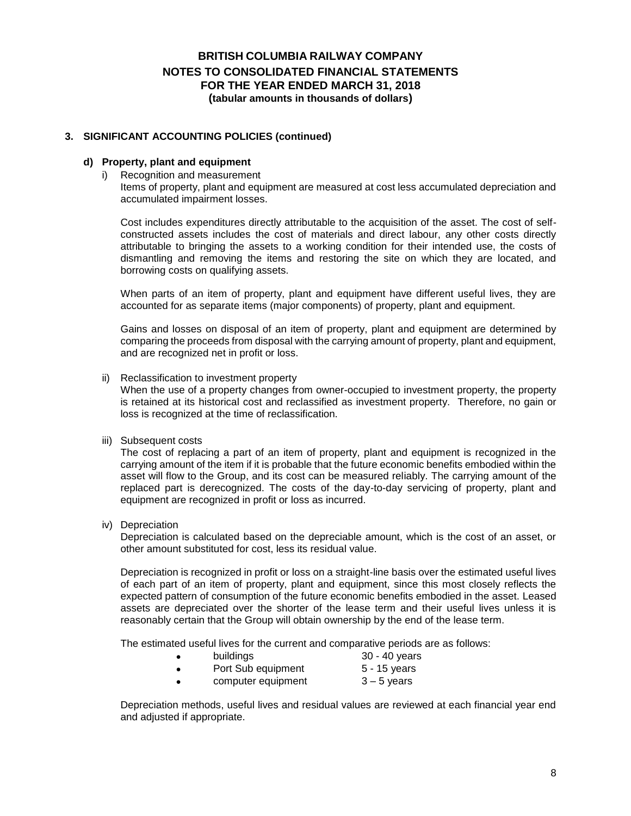### **3. SIGNIFICANT ACCOUNTING POLICIES (continued)**

#### **d) Property, plant and equipment**

i) Recognition and measurement

Items of property, plant and equipment are measured at cost less accumulated depreciation and accumulated impairment losses.

Cost includes expenditures directly attributable to the acquisition of the asset. The cost of selfconstructed assets includes the cost of materials and direct labour, any other costs directly attributable to bringing the assets to a working condition for their intended use, the costs of dismantling and removing the items and restoring the site on which they are located, and borrowing costs on qualifying assets.

When parts of an item of property, plant and equipment have different useful lives, they are accounted for as separate items (major components) of property, plant and equipment.

Gains and losses on disposal of an item of property, plant and equipment are determined by comparing the proceeds from disposal with the carrying amount of property, plant and equipment, and are recognized net in profit or loss.

ii) Reclassification to investment property

When the use of a property changes from owner-occupied to investment property, the property is retained at its historical cost and reclassified as investment property. Therefore, no gain or loss is recognized at the time of reclassification.

iii) Subsequent costs

The cost of replacing a part of an item of property, plant and equipment is recognized in the carrying amount of the item if it is probable that the future economic benefits embodied within the asset will flow to the Group, and its cost can be measured reliably. The carrying amount of the replaced part is derecognized. The costs of the day-to-day servicing of property, plant and equipment are recognized in profit or loss as incurred.

iv) Depreciation

Depreciation is calculated based on the depreciable amount, which is the cost of an asset, or other amount substituted for cost, less its residual value.

Depreciation is recognized in profit or loss on a straight-line basis over the estimated useful lives of each part of an item of property, plant and equipment, since this most closely reflects the expected pattern of consumption of the future economic benefits embodied in the asset. Leased assets are depreciated over the shorter of the lease term and their useful lives unless it is reasonably certain that the Group will obtain ownership by the end of the lease term.

The estimated useful lives for the current and comparative periods are as follows:

| buildings          | 30 - 40 years |
|--------------------|---------------|
| Port Sub equipment | 5 - 15 years  |
| computer equipment | $3 - 5$ years |

Depreciation methods, useful lives and residual values are reviewed at each financial year end and adjusted if appropriate.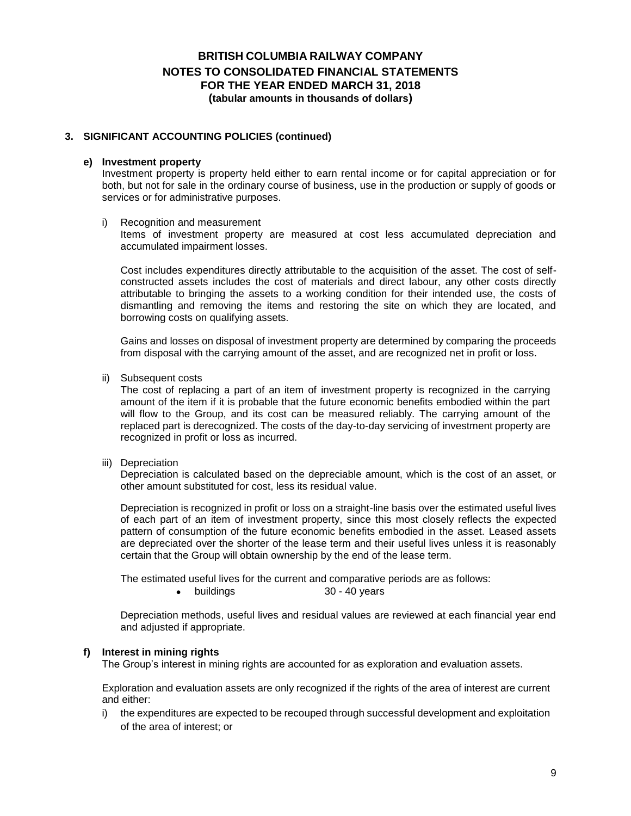#### **3. SIGNIFICANT ACCOUNTING POLICIES (continued)**

#### **e) Investment property**

Investment property is property held either to earn rental income or for capital appreciation or for both, but not for sale in the ordinary course of business, use in the production or supply of goods or services or for administrative purposes.

#### i) Recognition and measurement

Items of investment property are measured at cost less accumulated depreciation and accumulated impairment losses.

Cost includes expenditures directly attributable to the acquisition of the asset. The cost of selfconstructed assets includes the cost of materials and direct labour, any other costs directly attributable to bringing the assets to a working condition for their intended use, the costs of dismantling and removing the items and restoring the site on which they are located, and borrowing costs on qualifying assets.

Gains and losses on disposal of investment property are determined by comparing the proceeds from disposal with the carrying amount of the asset, and are recognized net in profit or loss.

ii) Subsequent costs

The cost of replacing a part of an item of investment property is recognized in the carrying amount of the item if it is probable that the future economic benefits embodied within the part will flow to the Group, and its cost can be measured reliably. The carrying amount of the replaced part is derecognized. The costs of the day-to-day servicing of investment property are recognized in profit or loss as incurred.

iii) Depreciation

Depreciation is calculated based on the depreciable amount, which is the cost of an asset, or other amount substituted for cost, less its residual value.

Depreciation is recognized in profit or loss on a straight-line basis over the estimated useful lives of each part of an item of investment property, since this most closely reflects the expected pattern of consumption of the future economic benefits embodied in the asset. Leased assets are depreciated over the shorter of the lease term and their useful lives unless it is reasonably certain that the Group will obtain ownership by the end of the lease term.

The estimated useful lives for the current and comparative periods are as follows:

• buildings 30 - 40 years

Depreciation methods, useful lives and residual values are reviewed at each financial year end and adjusted if appropriate.

#### **f) Interest in mining rights**

The Group's interest in mining rights are accounted for as exploration and evaluation assets.

Exploration and evaluation assets are only recognized if the rights of the area of interest are current and either:

i) the expenditures are expected to be recouped through successful development and exploitation of the area of interest; or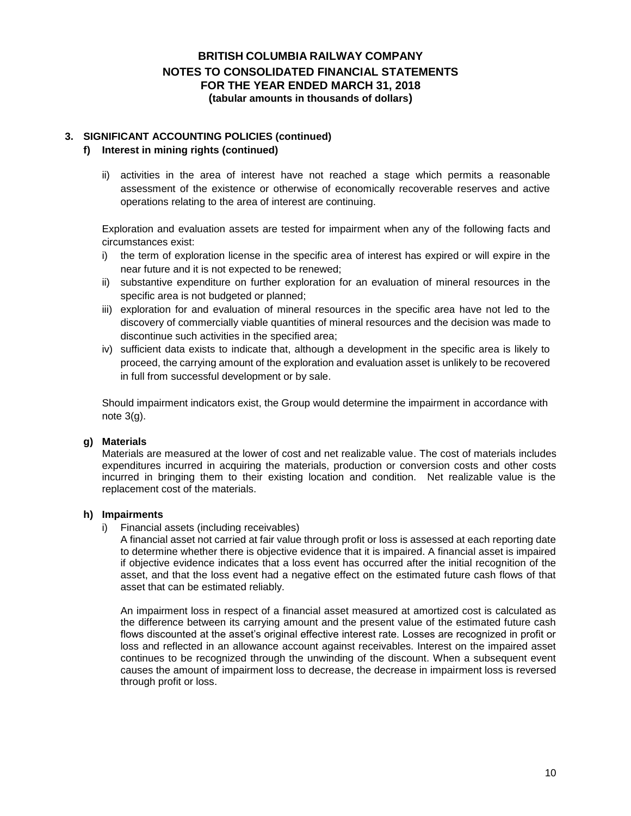## **3. SIGNIFICANT ACCOUNTING POLICIES (continued)**

## **f) Interest in mining rights (continued)**

ii) activities in the area of interest have not reached a stage which permits a reasonable assessment of the existence or otherwise of economically recoverable reserves and active operations relating to the area of interest are continuing.

Exploration and evaluation assets are tested for impairment when any of the following facts and circumstances exist:

- i) the term of exploration license in the specific area of interest has expired or will expire in the near future and it is not expected to be renewed;
- ii) substantive expenditure on further exploration for an evaluation of mineral resources in the specific area is not budgeted or planned;
- iii) exploration for and evaluation of mineral resources in the specific area have not led to the discovery of commercially viable quantities of mineral resources and the decision was made to discontinue such activities in the specified area;
- iv) sufficient data exists to indicate that, although a development in the specific area is likely to proceed, the carrying amount of the exploration and evaluation asset is unlikely to be recovered in full from successful development or by sale.

Should impairment indicators exist, the Group would determine the impairment in accordance with note 3(g).

## **g) Materials**

Materials are measured at the lower of cost and net realizable value. The cost of materials includes expenditures incurred in acquiring the materials, production or conversion costs and other costs incurred in bringing them to their existing location and condition. Net realizable value is the replacement cost of the materials.

## **h) Impairments**

i) Financial assets (including receivables)

A financial asset not carried at fair value through profit or loss is assessed at each reporting date to determine whether there is objective evidence that it is impaired. A financial asset is impaired if objective evidence indicates that a loss event has occurred after the initial recognition of the asset, and that the loss event had a negative effect on the estimated future cash flows of that asset that can be estimated reliably.

An impairment loss in respect of a financial asset measured at amortized cost is calculated as the difference between its carrying amount and the present value of the estimated future cash flows discounted at the asset's original effective interest rate. Losses are recognized in profit or loss and reflected in an allowance account against receivables. Interest on the impaired asset continues to be recognized through the unwinding of the discount. When a subsequent event causes the amount of impairment loss to decrease, the decrease in impairment loss is reversed through profit or loss.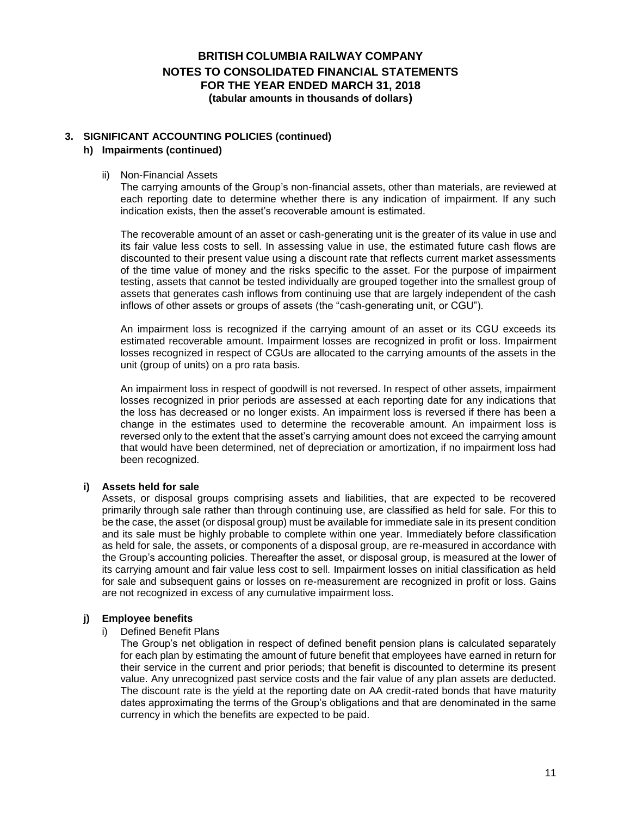# **3. SIGNIFICANT ACCOUNTING POLICIES (continued)**

## **h) Impairments (continued)**

### ii) Non-Financial Assets

The carrying amounts of the Group's non-financial assets, other than materials, are reviewed at each reporting date to determine whether there is any indication of impairment. If any such indication exists, then the asset's recoverable amount is estimated.

The recoverable amount of an asset or cash-generating unit is the greater of its value in use and its fair value less costs to sell. In assessing value in use, the estimated future cash flows are discounted to their present value using a discount rate that reflects current market assessments of the time value of money and the risks specific to the asset. For the purpose of impairment testing, assets that cannot be tested individually are grouped together into the smallest group of assets that generates cash inflows from continuing use that are largely independent of the cash inflows of other assets or groups of assets (the "cash-generating unit, or CGU").

An impairment loss is recognized if the carrying amount of an asset or its CGU exceeds its estimated recoverable amount. Impairment losses are recognized in profit or loss. Impairment losses recognized in respect of CGUs are allocated to the carrying amounts of the assets in the unit (group of units) on a pro rata basis.

An impairment loss in respect of goodwill is not reversed. In respect of other assets, impairment losses recognized in prior periods are assessed at each reporting date for any indications that the loss has decreased or no longer exists. An impairment loss is reversed if there has been a change in the estimates used to determine the recoverable amount. An impairment loss is reversed only to the extent that the asset's carrying amount does not exceed the carrying amount that would have been determined, net of depreciation or amortization, if no impairment loss had been recognized.

## **i) Assets held for sale**

Assets, or disposal groups comprising assets and liabilities, that are expected to be recovered primarily through sale rather than through continuing use, are classified as held for sale. For this to be the case, the asset (or disposal group) must be available for immediate sale in its present condition and its sale must be highly probable to complete within one year. Immediately before classification as held for sale, the assets, or components of a disposal group, are re-measured in accordance with the Group's accounting policies. Thereafter the asset, or disposal group, is measured at the lower of its carrying amount and fair value less cost to sell. Impairment losses on initial classification as held for sale and subsequent gains or losses on re-measurement are recognized in profit or loss. Gains are not recognized in excess of any cumulative impairment loss.

## **j) Employee benefits**

## i) Defined Benefit Plans

The Group's net obligation in respect of defined benefit pension plans is calculated separately for each plan by estimating the amount of future benefit that employees have earned in return for their service in the current and prior periods; that benefit is discounted to determine its present value. Any unrecognized past service costs and the fair value of any plan assets are deducted. The discount rate is the yield at the reporting date on AA credit-rated bonds that have maturity dates approximating the terms of the Group's obligations and that are denominated in the same currency in which the benefits are expected to be paid.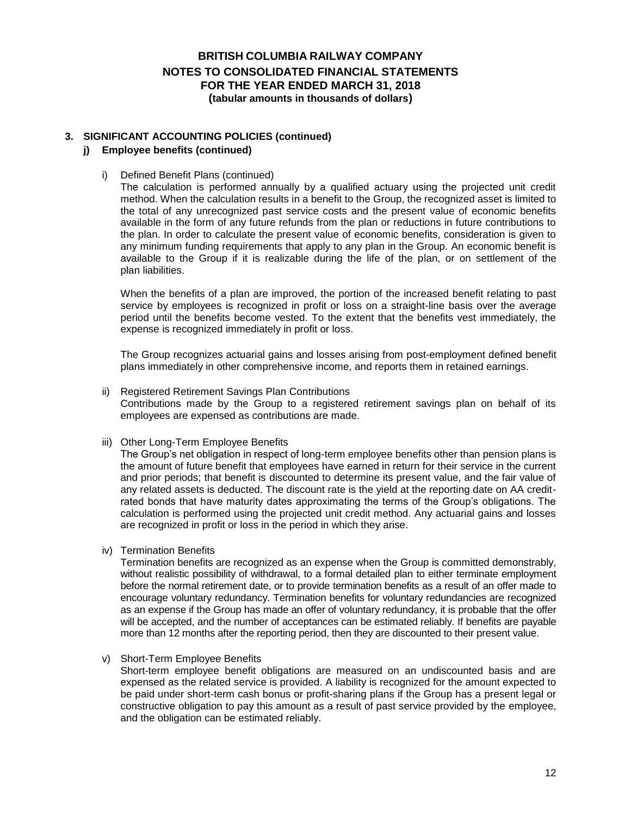# **3. SIGNIFICANT ACCOUNTING POLICIES (continued)**

## **j) Employee benefits (continued)**

i) Defined Benefit Plans (continued)

The calculation is performed annually by a qualified actuary using the projected unit credit method. When the calculation results in a benefit to the Group, the recognized asset is limited to the total of any unrecognized past service costs and the present value of economic benefits available in the form of any future refunds from the plan or reductions in future contributions to the plan. In order to calculate the present value of economic benefits, consideration is given to any minimum funding requirements that apply to any plan in the Group. An economic benefit is available to the Group if it is realizable during the life of the plan, or on settlement of the plan liabilities.

When the benefits of a plan are improved, the portion of the increased benefit relating to past service by employees is recognized in profit or loss on a straight-line basis over the average period until the benefits become vested. To the extent that the benefits vest immediately, the expense is recognized immediately in profit or loss.

The Group recognizes actuarial gains and losses arising from post-employment defined benefit plans immediately in other comprehensive income, and reports them in retained earnings.

- ii) Registered Retirement Savings Plan Contributions Contributions made by the Group to a registered retirement savings plan on behalf of its employees are expensed as contributions are made.
- iii) Other Long-Term Employee Benefits

The Group's net obligation in respect of long-term employee benefits other than pension plans is the amount of future benefit that employees have earned in return for their service in the current and prior periods; that benefit is discounted to determine its present value, and the fair value of any related assets is deducted. The discount rate is the yield at the reporting date on AA creditrated bonds that have maturity dates approximating the terms of the Group's obligations. The calculation is performed using the projected unit credit method. Any actuarial gains and losses are recognized in profit or loss in the period in which they arise.

iv) Termination Benefits

Termination benefits are recognized as an expense when the Group is committed demonstrably, without realistic possibility of withdrawal, to a formal detailed plan to either terminate employment before the normal retirement date, or to provide termination benefits as a result of an offer made to encourage voluntary redundancy. Termination benefits for voluntary redundancies are recognized as an expense if the Group has made an offer of voluntary redundancy, it is probable that the offer will be accepted, and the number of acceptances can be estimated reliably. If benefits are payable more than 12 months after the reporting period, then they are discounted to their present value.

v) Short-Term Employee Benefits

Short-term employee benefit obligations are measured on an undiscounted basis and are expensed as the related service is provided. A liability is recognized for the amount expected to be paid under short-term cash bonus or profit-sharing plans if the Group has a present legal or constructive obligation to pay this amount as a result of past service provided by the employee, and the obligation can be estimated reliably.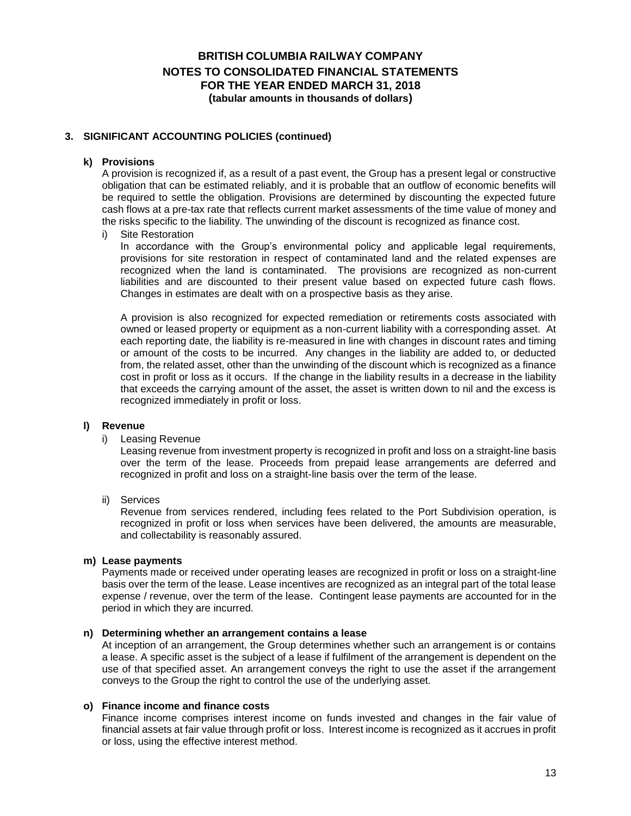### **3. SIGNIFICANT ACCOUNTING POLICIES (continued)**

#### **k) Provisions**

A provision is recognized if, as a result of a past event, the Group has a present legal or constructive obligation that can be estimated reliably, and it is probable that an outflow of economic benefits will be required to settle the obligation. Provisions are determined by discounting the expected future cash flows at a pre-tax rate that reflects current market assessments of the time value of money and the risks specific to the liability. The unwinding of the discount is recognized as finance cost.

i) Site Restoration

In accordance with the Group's environmental policy and applicable legal requirements, provisions for site restoration in respect of contaminated land and the related expenses are recognized when the land is contaminated. The provisions are recognized as non-current liabilities and are discounted to their present value based on expected future cash flows. Changes in estimates are dealt with on a prospective basis as they arise.

A provision is also recognized for expected remediation or retirements costs associated with owned or leased property or equipment as a non-current liability with a corresponding asset. At each reporting date, the liability is re-measured in line with changes in discount rates and timing or amount of the costs to be incurred. Any changes in the liability are added to, or deducted from, the related asset, other than the unwinding of the discount which is recognized as a finance cost in profit or loss as it occurs. If the change in the liability results in a decrease in the liability that exceeds the carrying amount of the asset, the asset is written down to nil and the excess is recognized immediately in profit or loss.

#### **l) Revenue**

i) Leasing Revenue

Leasing revenue from investment property is recognized in profit and loss on a straight-line basis over the term of the lease. Proceeds from prepaid lease arrangements are deferred and recognized in profit and loss on a straight-line basis over the term of the lease.

ii) Services

Revenue from services rendered, including fees related to the Port Subdivision operation, is recognized in profit or loss when services have been delivered, the amounts are measurable, and collectability is reasonably assured.

#### **m) Lease payments**

Payments made or received under operating leases are recognized in profit or loss on a straight-line basis over the term of the lease. Lease incentives are recognized as an integral part of the total lease expense / revenue, over the term of the lease. Contingent lease payments are accounted for in the period in which they are incurred.

#### **n) Determining whether an arrangement contains a lease**

At inception of an arrangement, the Group determines whether such an arrangement is or contains a lease. A specific asset is the subject of a lease if fulfilment of the arrangement is dependent on the use of that specified asset. An arrangement conveys the right to use the asset if the arrangement conveys to the Group the right to control the use of the underlying asset.

#### **o) Finance income and finance costs**

Finance income comprises interest income on funds invested and changes in the fair value of financial assets at fair value through profit or loss. Interest income is recognized as it accrues in profit or loss, using the effective interest method.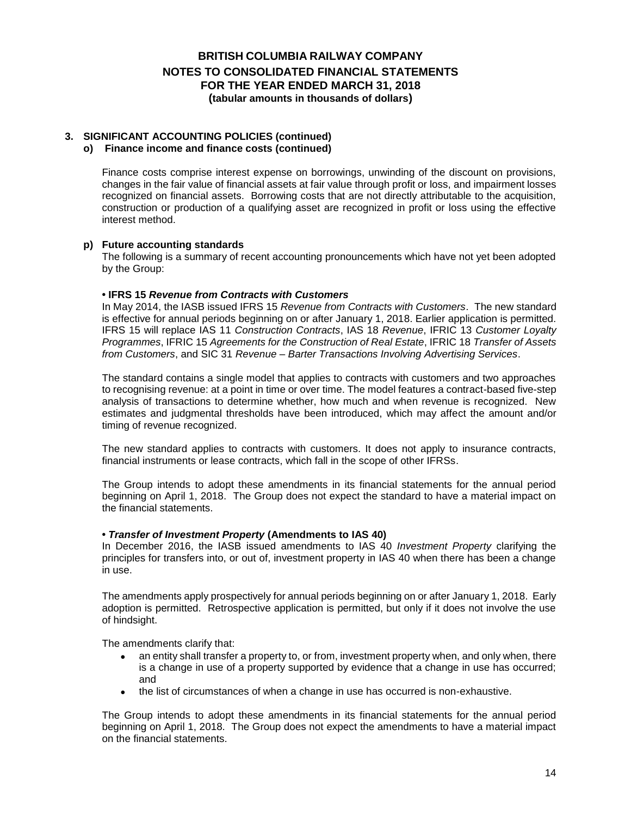# **3. SIGNIFICANT ACCOUNTING POLICIES (continued)**

## **o) Finance income and finance costs (continued)**

Finance costs comprise interest expense on borrowings, unwinding of the discount on provisions, changes in the fair value of financial assets at fair value through profit or loss, and impairment losses recognized on financial assets. Borrowing costs that are not directly attributable to the acquisition, construction or production of a qualifying asset are recognized in profit or loss using the effective interest method.

## **p) Future accounting standards**

The following is a summary of recent accounting pronouncements which have not yet been adopted by the Group:

## **• IFRS 15** *Revenue from Contracts with Customers*

In May 2014, the IASB issued IFRS 15 *Revenue from Contracts with Customers*. The new standard is effective for annual periods beginning on or after January 1, 2018. Earlier application is permitted. IFRS 15 will replace IAS 11 *Construction Contracts*, IAS 18 *Revenue*, IFRIC 13 *Customer Loyalty Programmes*, IFRIC 15 *Agreements for the Construction of Real Estate*, IFRIC 18 *Transfer of Assets from Customers*, and SIC 31 *Revenue – Barter Transactions Involving Advertising Services*.

The standard contains a single model that applies to contracts with customers and two approaches to recognising revenue: at a point in time or over time. The model features a contract-based five-step analysis of transactions to determine whether, how much and when revenue is recognized. New estimates and judgmental thresholds have been introduced, which may affect the amount and/or timing of revenue recognized.

The new standard applies to contracts with customers. It does not apply to insurance contracts, financial instruments or lease contracts, which fall in the scope of other IFRSs.

The Group intends to adopt these amendments in its financial statements for the annual period beginning on April 1, 2018. The Group does not expect the standard to have a material impact on the financial statements.

## **•** *Transfer of Investment Property* **(Amendments to IAS 40)**

In December 2016, the IASB issued amendments to IAS 40 *Investment Property* clarifying the principles for transfers into, or out of, investment property in IAS 40 when there has been a change in use.

The amendments apply prospectively for annual periods beginning on or after January 1, 2018. Early adoption is permitted. Retrospective application is permitted, but only if it does not involve the use of hindsight.

The amendments clarify that:

- an entity shall transfer a property to, or from, investment property when, and only when, there is a change in use of a property supported by evidence that a change in use has occurred; and
- the list of circumstances of when a change in use has occurred is non-exhaustive.

The Group intends to adopt these amendments in its financial statements for the annual period beginning on April 1, 2018. The Group does not expect the amendments to have a material impact on the financial statements.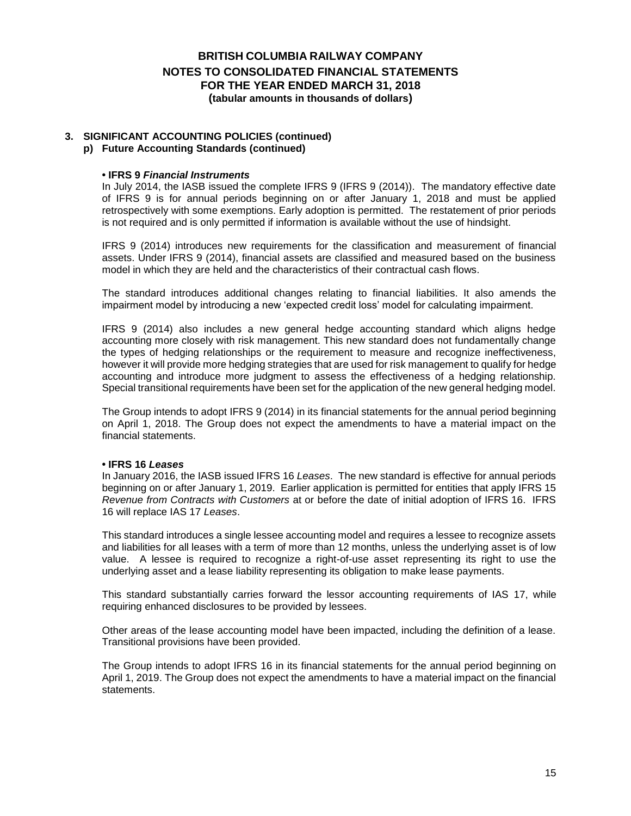#### **3. SIGNIFICANT ACCOUNTING POLICIES (continued) p) Future Accounting Standards (continued)**

# **• IFRS 9** *Financial Instruments*

In July 2014, the IASB issued the complete IFRS 9 (IFRS 9 (2014)). The mandatory effective date of IFRS 9 is for annual periods beginning on or after January 1, 2018 and must be applied retrospectively with some exemptions. Early adoption is permitted. The restatement of prior periods is not required and is only permitted if information is available without the use of hindsight.

IFRS 9 (2014) introduces new requirements for the classification and measurement of financial assets. Under IFRS 9 (2014), financial assets are classified and measured based on the business model in which they are held and the characteristics of their contractual cash flows.

The standard introduces additional changes relating to financial liabilities. It also amends the impairment model by introducing a new 'expected credit loss' model for calculating impairment.

IFRS 9 (2014) also includes a new general hedge accounting standard which aligns hedge accounting more closely with risk management. This new standard does not fundamentally change the types of hedging relationships or the requirement to measure and recognize ineffectiveness, however it will provide more hedging strategies that are used for risk management to qualify for hedge accounting and introduce more judgment to assess the effectiveness of a hedging relationship. Special transitional requirements have been set for the application of the new general hedging model.

The Group intends to adopt IFRS 9 (2014) in its financial statements for the annual period beginning on April 1, 2018. The Group does not expect the amendments to have a material impact on the financial statements.

#### **• IFRS 16** *Leases*

In January 2016, the IASB issued IFRS 16 *Leases*. The new standard is effective for annual periods beginning on or after January 1, 2019. Earlier application is permitted for entities that apply IFRS 15 *Revenue from Contracts with Customers* at or before the date of initial adoption of IFRS 16. IFRS 16 will replace IAS 17 *Leases*.

This standard introduces a single lessee accounting model and requires a lessee to recognize assets and liabilities for all leases with a term of more than 12 months, unless the underlying asset is of low value. A lessee is required to recognize a right-of-use asset representing its right to use the underlying asset and a lease liability representing its obligation to make lease payments.

This standard substantially carries forward the lessor accounting requirements of IAS 17, while requiring enhanced disclosures to be provided by lessees.

Other areas of the lease accounting model have been impacted, including the definition of a lease. Transitional provisions have been provided.

The Group intends to adopt IFRS 16 in its financial statements for the annual period beginning on April 1, 2019. The Group does not expect the amendments to have a material impact on the financial statements.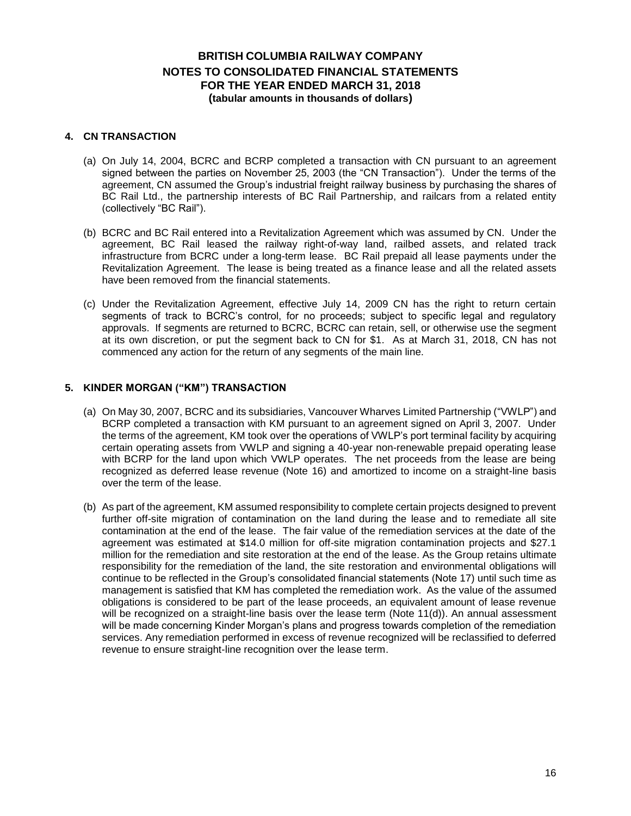### **4. CN TRANSACTION**

- (a) On July 14, 2004, BCRC and BCRP completed a transaction with CN pursuant to an agreement signed between the parties on November 25, 2003 (the "CN Transaction"). Under the terms of the agreement, CN assumed the Group's industrial freight railway business by purchasing the shares of BC Rail Ltd., the partnership interests of BC Rail Partnership, and railcars from a related entity (collectively "BC Rail").
- (b) BCRC and BC Rail entered into a Revitalization Agreement which was assumed by CN. Under the agreement, BC Rail leased the railway right-of-way land, railbed assets, and related track infrastructure from BCRC under a long-term lease. BC Rail prepaid all lease payments under the Revitalization Agreement. The lease is being treated as a finance lease and all the related assets have been removed from the financial statements.
- (c) Under the Revitalization Agreement, effective July 14, 2009 CN has the right to return certain segments of track to BCRC's control, for no proceeds; subject to specific legal and regulatory approvals. If segments are returned to BCRC, BCRC can retain, sell, or otherwise use the segment at its own discretion, or put the segment back to CN for \$1. As at March 31, 2018, CN has not commenced any action for the return of any segments of the main line.

## **5. KINDER MORGAN ("KM") TRANSACTION**

- (a) On May 30, 2007, BCRC and its subsidiaries, Vancouver Wharves Limited Partnership ("VWLP") and BCRP completed a transaction with KM pursuant to an agreement signed on April 3, 2007. Under the terms of the agreement, KM took over the operations of VWLP's port terminal facility by acquiring certain operating assets from VWLP and signing a 40-year non-renewable prepaid operating lease with BCRP for the land upon which VWLP operates. The net proceeds from the lease are being recognized as deferred lease revenue (Note 16) and amortized to income on a straight-line basis over the term of the lease.
- (b) As part of the agreement, KM assumed responsibility to complete certain projects designed to prevent further off-site migration of contamination on the land during the lease and to remediate all site contamination at the end of the lease. The fair value of the remediation services at the date of the agreement was estimated at \$14.0 million for off-site migration contamination projects and \$27.1 million for the remediation and site restoration at the end of the lease. As the Group retains ultimate responsibility for the remediation of the land, the site restoration and environmental obligations will continue to be reflected in the Group's consolidated financial statements (Note 17) until such time as management is satisfied that KM has completed the remediation work. As the value of the assumed obligations is considered to be part of the lease proceeds, an equivalent amount of lease revenue will be recognized on a straight-line basis over the lease term (Note 11(d)). An annual assessment will be made concerning Kinder Morgan's plans and progress towards completion of the remediation services. Any remediation performed in excess of revenue recognized will be reclassified to deferred revenue to ensure straight-line recognition over the lease term.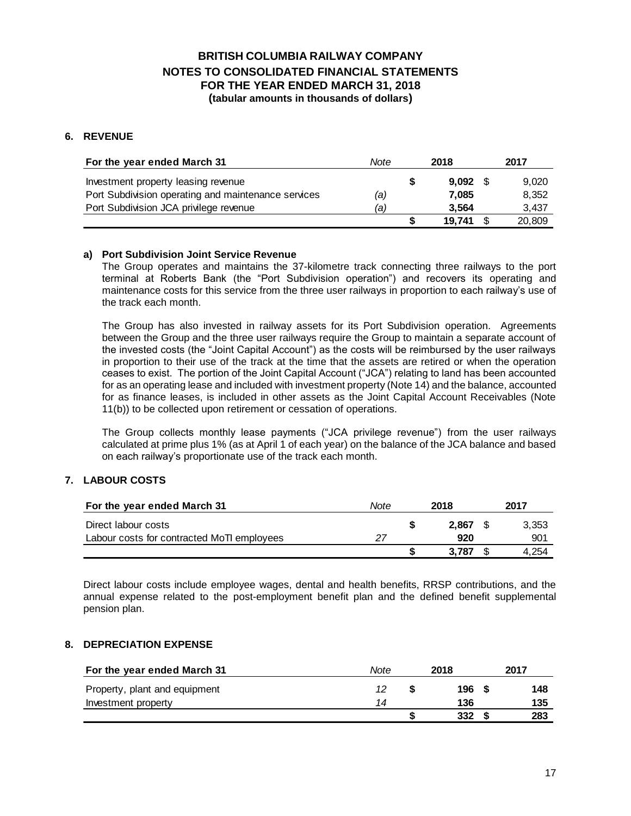## **6. REVENUE**

| For the year ended March 31                         | Note | 2018 |        | 2017 |        |
|-----------------------------------------------------|------|------|--------|------|--------|
| Investment property leasing revenue                 |      | S    | 9.092  | - SS | 9,020  |
| Port Subdivision operating and maintenance services | (a)  |      | 7.085  |      | 8,352  |
| Port Subdivision JCA privilege revenue              | (a)  |      | 3.564  |      | 3,437  |
|                                                     |      |      | 19.741 |      | 20,809 |

## **a) Port Subdivision Joint Service Revenue**

The Group operates and maintains the 37-kilometre track connecting three railways to the port terminal at Roberts Bank (the "Port Subdivision operation") and recovers its operating and maintenance costs for this service from the three user railways in proportion to each railway's use of the track each month.

The Group has also invested in railway assets for its Port Subdivision operation. Agreements between the Group and the three user railways require the Group to maintain a separate account of the invested costs (the "Joint Capital Account") as the costs will be reimbursed by the user railways in proportion to their use of the track at the time that the assets are retired or when the operation ceases to exist. The portion of the Joint Capital Account ("JCA") relating to land has been accounted for as an operating lease and included with investment property (Note 14) and the balance, accounted for as finance leases, is included in other assets as the Joint Capital Account Receivables (Note 11(b)) to be collected upon retirement or cessation of operations.

The Group collects monthly lease payments ("JCA privilege revenue") from the user railways calculated at prime plus 1% (as at April 1 of each year) on the balance of the JCA balance and based on each railway's proportionate use of the track each month.

## **7. LABOUR COSTS**

| For the year ended March 31                                       | Note | 2018         | 2017 |              |
|-------------------------------------------------------------------|------|--------------|------|--------------|
| Direct labour costs<br>Labour costs for contracted MoTI employees |      | 2.867<br>920 |      | 3,353<br>901 |
|                                                                   |      | 3.787        |      | 4.254        |

Direct labour costs include employee wages, dental and health benefits, RRSP contributions, and the annual expense related to the post-employment benefit plan and the defined benefit supplemental pension plan.

#### **8. DEPRECIATION EXPENSE**

| For the year ended March 31   | Note | 2018             | 2017 |
|-------------------------------|------|------------------|------|
| Property, plant and equipment | 12   | 196 <sup>5</sup> | 148  |
| Investment property           | 14   | 136              | 135  |
|                               |      | 332              | 283  |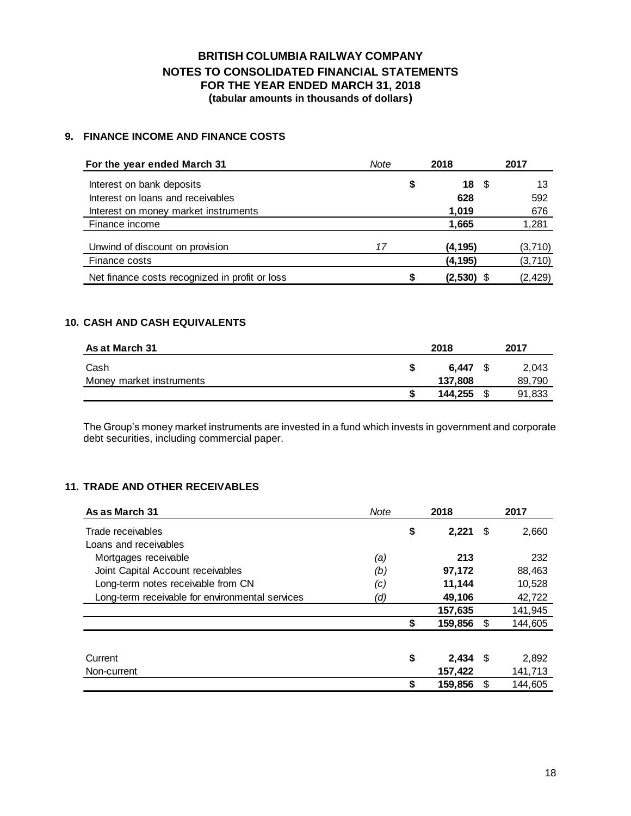# **9. FINANCE INCOME AND FINANCE COSTS**

| For the year ended March 31                    | Note | 2018 |              | 2017 |          |
|------------------------------------------------|------|------|--------------|------|----------|
| Interest on bank deposits                      |      | \$   | 18           | - \$ | 13       |
| Interest on loans and receivables              |      |      | 628          |      | 592      |
| Interest on money market instruments           |      |      | 1,019        |      | 676      |
| Finance income                                 |      |      | 1,665        |      | 1,281    |
| Unwind of discount on provision                | 17   |      | (4, 195)     |      | (3,710)  |
| Finance costs                                  |      |      | (4, 195)     |      | (3,710)  |
| Net finance costs recognized in profit or loss |      | S    | $(2,530)$ \$ |      | (2, 429) |

## **10. CASH AND CASH EQUIVALENTS**

| As at March 31           | 2018 |         |    | 2017   |  |  |
|--------------------------|------|---------|----|--------|--|--|
| Cash                     |      | 6.447   |    | 2,043  |  |  |
| Money market instruments |      | 137.808 |    | 89,790 |  |  |
|                          |      | 144.255 | \$ | 91,833 |  |  |

The Group's money market instruments are invested in a fund which invests in government and corporate debt securities, including commercial paper.

## **11. TRADE AND OTHER RECEIVABLES**

| As as March 31                                  | Note | 2018             | 2017          |
|-------------------------------------------------|------|------------------|---------------|
| Trade receivables                               |      | \$<br>2,221      | \$<br>2,660   |
| Loans and receivables                           |      |                  |               |
| Mortgages receivable                            | (a)  | 213              | 232           |
| Joint Capital Account receivables               | (b)  | 97,172           | 88,463        |
| Long-term notes receivable from CN              | (c)  | 11,144           | 10,528        |
| Long-term receivable for environmental services | (d)  | 49,106           | 42,722        |
|                                                 |      | 157,635          | 141,945       |
|                                                 |      | \$<br>159,856    | \$<br>144,605 |
|                                                 |      |                  |               |
| Current                                         |      | \$<br>$2,434$ \$ | 2,892         |
| Non-current                                     |      | 157,422          | 141,713       |
|                                                 |      | \$<br>159,856    | \$<br>144.605 |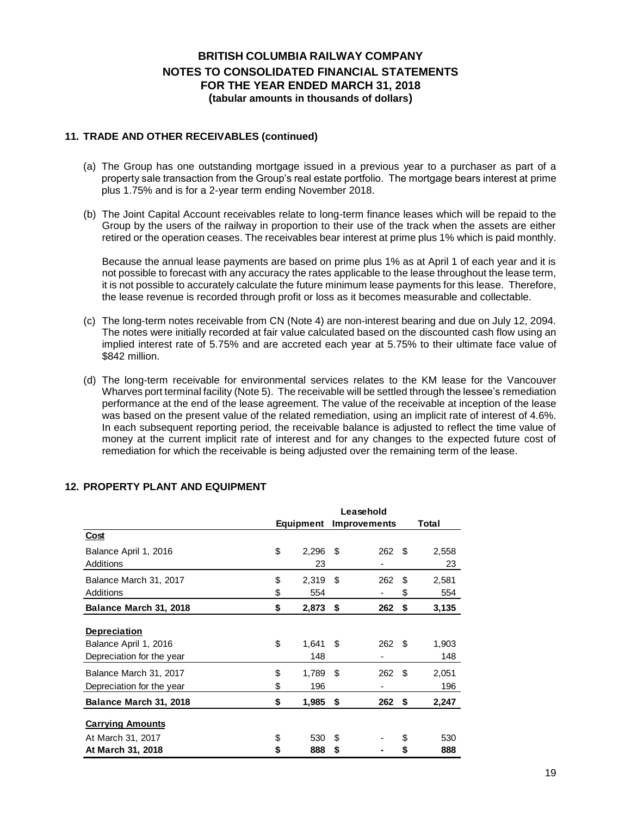## **11. TRADE AND OTHER RECEIVABLES (continued)**

- (a) The Group has one outstanding mortgage issued in a previous year to a purchaser as part of a property sale transaction from the Group's real estate portfolio. The mortgage bears interest at prime plus 1.75% and is for a 2-year term ending November 2018.
- (b) The Joint Capital Account receivables relate to long-term finance leases which will be repaid to the Group by the users of the railway in proportion to their use of the track when the assets are either retired or the operation ceases. The receivables bear interest at prime plus 1% which is paid monthly.

Because the annual lease payments are based on prime plus 1% as at April 1 of each year and it is not possible to forecast with any accuracy the rates applicable to the lease throughout the lease term, it is not possible to accurately calculate the future minimum lease payments for this lease. Therefore, the lease revenue is recorded through profit or loss as it becomes measurable and collectable.

- (c) The long-term notes receivable from CN (Note 4) are non-interest bearing and due on July 12, 2094. The notes were initially recorded at fair value calculated based on the discounted cash flow using an implied interest rate of 5.75% and are accreted each year at 5.75% to their ultimate face value of \$842 million.
- (d) The long-term receivable for environmental services relates to the KM lease for the Vancouver Wharves port terminal facility (Note 5). The receivable will be settled through the lessee's remediation performance at the end of the lease agreement. The value of the receivable at inception of the lease was based on the present value of the related remediation, using an implicit rate of interest of 4.6%. In each subsequent reporting period, the receivable balance is adjusted to reflect the time value of money at the current implicit rate of interest and for any changes to the expected future cost of remediation for which the receivable is being adjusted over the remaining term of the lease.

|                           | Leasehold |           |      |                     |      |       |
|---------------------------|-----------|-----------|------|---------------------|------|-------|
|                           |           | Equipment |      | <b>Improvements</b> |      | Total |
| Cost                      |           |           |      |                     |      |       |
| Balance April 1, 2016     | \$        | 2,296     | \$   | 262                 | - \$ | 2,558 |
| Additions                 |           | 23        |      |                     |      | 23    |
| Balance March 31, 2017    | \$        | 2,319     | -\$  | 262                 | \$   | 2,581 |
| Additions                 | \$        | 554       |      | -                   | \$   | 554   |
| Balance March 31, 2018    | \$        | 2,873     | \$   | 262                 | \$   | 3,135 |
|                           |           |           |      |                     |      |       |
| <b>Depreciation</b>       |           |           |      |                     |      |       |
| Balance April 1, 2016     | \$        | 1,641     | \$   | 262                 | - \$ | 1,903 |
| Depreciation for the year |           | 148       |      |                     |      | 148   |
| Balance March 31, 2017    | \$        | 1,789     | - \$ | 262                 | - \$ | 2,051 |
| Depreciation for the year | \$        | 196       |      | ٠                   |      | 196   |
| Balance March 31, 2018    | \$        | 1,985     | - \$ | 262                 | - \$ | 2,247 |
| <b>Carrying Amounts</b>   |           |           |      |                     |      |       |
|                           |           |           |      |                     |      |       |
| At March 31, 2017         | \$        | 530       | \$   |                     | \$   | 530   |
| At March 31, 2018         | \$        | 888       | \$   |                     | \$   | 888   |

## **12. PROPERTY PLANT AND EQUIPMENT**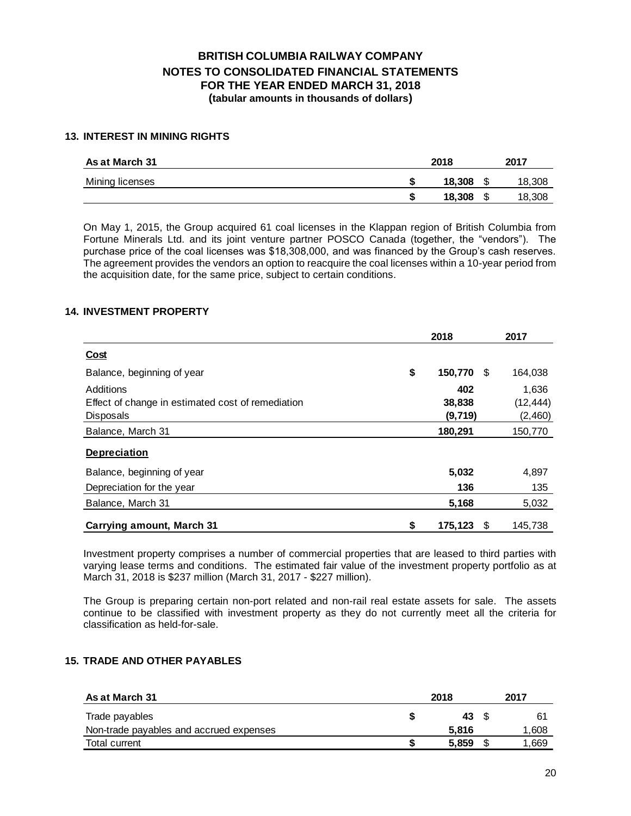## **13. INTEREST IN MINING RIGHTS**

| As at March 31         | 2018   | 2017         |  |  |  |
|------------------------|--------|--------------|--|--|--|
| <b>Mining licenses</b> | 18.308 | \$<br>18,308 |  |  |  |
|                        | 18.308 | \$<br>18,308 |  |  |  |

On May 1, 2015, the Group acquired 61 coal licenses in the Klappan region of British Columbia from Fortune Minerals Ltd. and its joint venture partner POSCO Canada (together, the "vendors"). The purchase price of the coal licenses was \$18,308,000, and was financed by the Group's cash reserves. The agreement provides the vendors an option to reacquire the coal licenses within a 10-year period from the acquisition date, for the same price, subject to certain conditions.

### **14. INVESTMENT PROPERTY**

|                                                   | 2018                | 2017      |
|---------------------------------------------------|---------------------|-----------|
| <u>Cost</u>                                       |                     |           |
| Balance, beginning of year                        | \$<br>150,770<br>\$ | 164,038   |
| Additions                                         | 402                 | 1,636     |
| Effect of change in estimated cost of remediation | 38,838              | (12, 444) |
| <b>Disposals</b>                                  | (9,719)             | (2,460)   |
| Balance, March 31                                 | 180,291             | 150,770   |
| <b>Depreciation</b>                               |                     |           |
| Balance, beginning of year                        | 5,032               | 4,897     |
| Depreciation for the year                         | 136                 | 135       |
| Balance, March 31                                 | 5,168               | 5,032     |
| <b>Carrying amount, March 31</b>                  | \$<br>175,123<br>S  | 145,738   |

Investment property comprises a number of commercial properties that are leased to third parties with varying lease terms and conditions. The estimated fair value of the investment property portfolio as at March 31, 2018 is \$237 million (March 31, 2017 - \$227 million).

The Group is preparing certain non-port related and non-rail real estate assets for sale. The assets continue to be classified with investment property as they do not currently meet all the criteria for classification as held-for-sale.

## **15. TRADE AND OTHER PAYABLES**

| As at March 31                          |   | 2017  |       |  |
|-----------------------------------------|---|-------|-------|--|
| Trade payables                          |   | 43    | 61    |  |
| Non-trade payables and accrued expenses |   | 5.816 | 1,608 |  |
| Total current                           | S | 5.859 | .669  |  |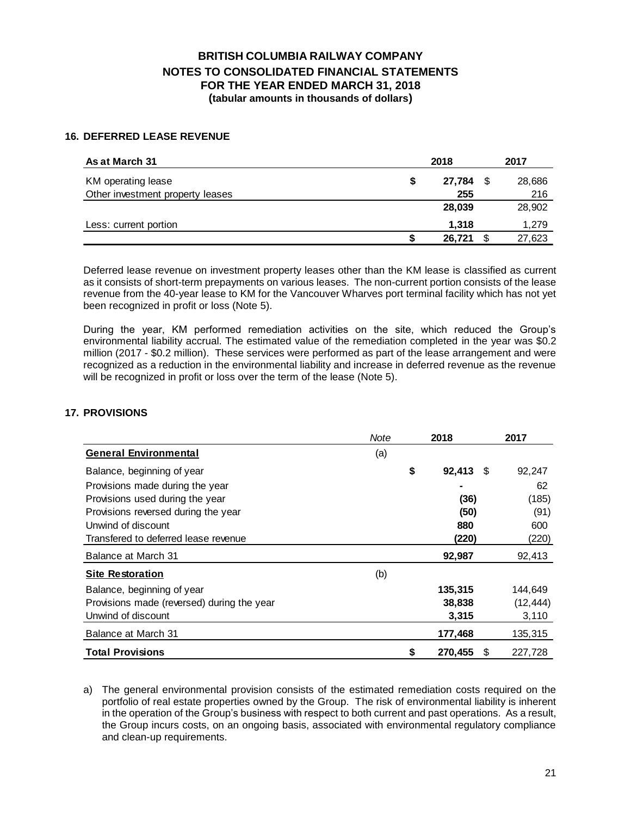## **16. DEFERRED LEASE REVENUE**

| As at March 31                   |   | 2018   |      | 2017   |
|----------------------------------|---|--------|------|--------|
| KM operating lease               | S | 27,784 | - \$ | 28,686 |
| Other investment property leases |   | 255    |      | 216    |
|                                  |   | 28,039 |      | 28,902 |
| Less: current portion            |   | 1.318  |      | 1,279  |
|                                  |   | 26,721 | S    | 27,623 |

Deferred lease revenue on investment property leases other than the KM lease is classified as current as it consists of short-term prepayments on various leases. The non-current portion consists of the lease revenue from the 40-year lease to KM for the Vancouver Wharves port terminal facility which has not yet been recognized in profit or loss (Note 5).

During the year, KM performed remediation activities on the site, which reduced the Group's environmental liability accrual. The estimated value of the remediation completed in the year was \$0.2 million (2017 - \$0.2 million). These services were performed as part of the lease arrangement and were recognized as a reduction in the environmental liability and increase in deferred revenue as the revenue will be recognized in profit or loss over the term of the lease (Note 5).

## **17. PROVISIONS**

|                                            | Note | 2018               | 2017      |
|--------------------------------------------|------|--------------------|-----------|
| <b>General Environmental</b>               | (a)  |                    |           |
| Balance, beginning of year                 |      | \$<br>92,413<br>-S | 92,247    |
| Provisions made during the year            |      | -                  | 62        |
| Provisions used during the year            |      | (36)               | (185)     |
| Provisions reversed during the year        |      | (50)               | (91)      |
| Unwind of discount                         |      | 880                | 600       |
| Transfered to deferred lease revenue       |      | (220)              | (220)     |
| Balance at March 31                        |      | 92,987             | 92,413    |
| <b>Site Restoration</b>                    | (b)  |                    |           |
| Balance, beginning of year                 |      | 135,315            | 144,649   |
| Provisions made (reversed) during the year |      | 38,838             | (12, 444) |
| Unwind of discount                         |      | 3,315              | 3,110     |
| Balance at March 31                        |      | 177,468            | 135,315   |
| <b>Total Provisions</b>                    |      | \$<br>270,455<br>S | 227,728   |

a) The general environmental provision consists of the estimated remediation costs required on the portfolio of real estate properties owned by the Group. The risk of environmental liability is inherent in the operation of the Group's business with respect to both current and past operations. As a result, the Group incurs costs, on an ongoing basis, associated with environmental regulatory compliance and clean-up requirements.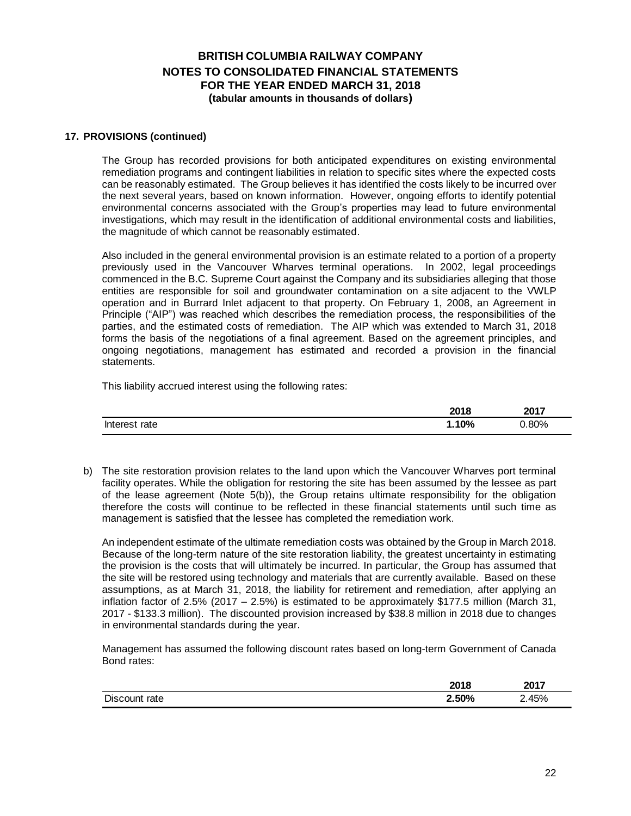#### **17. PROVISIONS (continued)**

The Group has recorded provisions for both anticipated expenditures on existing environmental remediation programs and contingent liabilities in relation to specific sites where the expected costs can be reasonably estimated. The Group believes it has identified the costs likely to be incurred over the next several years, based on known information. However, ongoing efforts to identify potential environmental concerns associated with the Group's properties may lead to future environmental investigations, which may result in the identification of additional environmental costs and liabilities, the magnitude of which cannot be reasonably estimated.

Also included in the general environmental provision is an estimate related to a portion of a property previously used in the Vancouver Wharves terminal operations. In 2002, legal proceedings commenced in the B.C. Supreme Court against the Company and its subsidiaries alleging that those entities are responsible for soil and groundwater contamination on a site adjacent to the VWLP operation and in Burrard Inlet adjacent to that property. On February 1, 2008, an Agreement in Principle ("AIP") was reached which describes the remediation process, the responsibilities of the parties, and the estimated costs of remediation. The AIP which was extended to March 31, 2018 forms the basis of the negotiations of a final agreement. Based on the agreement principles, and ongoing negotiations, management has estimated and recorded a provision in the financial statements.

This liability accrued interest using the following rates:

|               | 2018 | 2017  |
|---------------|------|-------|
| Interest rate | .10% | 0.80% |

b) The site restoration provision relates to the land upon which the Vancouver Wharves port terminal facility operates. While the obligation for restoring the site has been assumed by the lessee as part of the lease agreement (Note 5(b)), the Group retains ultimate responsibility for the obligation therefore the costs will continue to be reflected in these financial statements until such time as management is satisfied that the lessee has completed the remediation work.

An independent estimate of the ultimate remediation costs was obtained by the Group in March 2018. Because of the long-term nature of the site restoration liability, the greatest uncertainty in estimating the provision is the costs that will ultimately be incurred. In particular, the Group has assumed that the site will be restored using technology and materials that are currently available. Based on these assumptions, as at March 31, 2018, the liability for retirement and remediation, after applying an inflation factor of 2.5% (2017 – 2.5%) is estimated to be approximately \$177.5 million (March 31, 2017 - \$133.3 million). The discounted provision increased by \$38.8 million in 2018 due to changes in environmental standards during the year.

Management has assumed the following discount rates based on long-term Government of Canada Bond rates:

|                        | 2018 | 2017            |
|------------------------|------|-----------------|
| Disco.<br>rate<br>soum | 50%∠ | 45%<br><u>.</u> |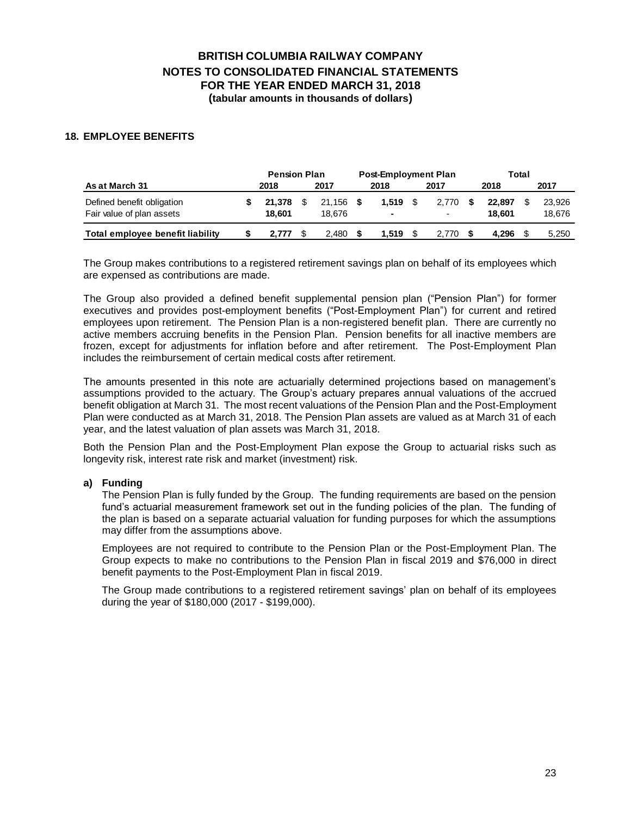### **18. EMPLOYEE BENEFITS**

|                                                         |  |                  |    |                       | <b>Post-Employment Plan</b> |            |      | <b>Pension Plan</b> |  |                  |                  |  | Total |  |
|---------------------------------------------------------|--|------------------|----|-----------------------|-----------------------------|------------|------|---------------------|--|------------------|------------------|--|-------|--|
| As at March 31                                          |  | 2018             |    | 2017                  |                             | 2018       |      | 2017                |  | 2018             | 2017             |  |       |  |
| Defined benefit obligation<br>Fair value of plan assets |  | 21.378<br>18.601 | -S | $21.156$ \$<br>18.676 |                             | 1.519<br>۰ | - \$ | 2.770<br>۰          |  | 22.897<br>18.601 | 23.926<br>18.676 |  |       |  |
| Total employee benefit liability                        |  | 2.777            |    | 2.480                 |                             | 1.519      |      | 2.770               |  | 4.296            | 5.250            |  |       |  |

The Group makes contributions to a registered retirement savings plan on behalf of its employees which are expensed as contributions are made.

The Group also provided a defined benefit supplemental pension plan ("Pension Plan") for former executives and provides post-employment benefits ("Post-Employment Plan") for current and retired employees upon retirement. The Pension Plan is a non-registered benefit plan. There are currently no active members accruing benefits in the Pension Plan. Pension benefits for all inactive members are frozen, except for adjustments for inflation before and after retirement. The Post-Employment Plan includes the reimbursement of certain medical costs after retirement.

The amounts presented in this note are actuarially determined projections based on management's assumptions provided to the actuary. The Group's actuary prepares annual valuations of the accrued benefit obligation at March 31. The most recent valuations of the Pension Plan and the Post-Employment Plan were conducted as at March 31, 2018. The Pension Plan assets are valued as at March 31 of each year, and the latest valuation of plan assets was March 31, 2018.

Both the Pension Plan and the Post-Employment Plan expose the Group to actuarial risks such as longevity risk, interest rate risk and market (investment) risk.

#### **a) Funding**

The Pension Plan is fully funded by the Group. The funding requirements are based on the pension fund's actuarial measurement framework set out in the funding policies of the plan. The funding of the plan is based on a separate actuarial valuation for funding purposes for which the assumptions may differ from the assumptions above.

Employees are not required to contribute to the Pension Plan or the Post-Employment Plan. The Group expects to make no contributions to the Pension Plan in fiscal 2019 and \$76,000 in direct benefit payments to the Post-Employment Plan in fiscal 2019.

The Group made contributions to a registered retirement savings' plan on behalf of its employees during the year of \$180,000 (2017 - \$199,000).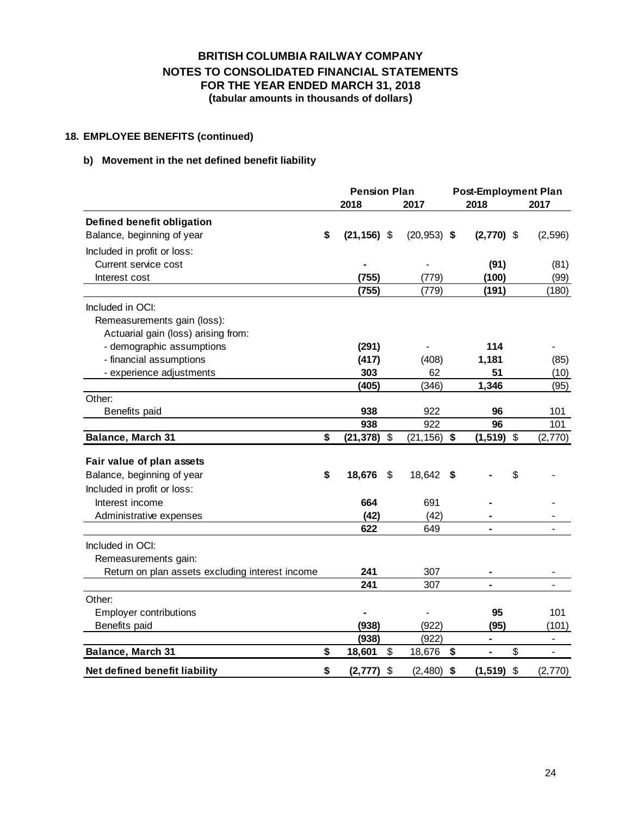# **18. EMPLOYEE BENEFITS (continued)**

## **b) Movement in the net defined benefit liability**

|                                                 |                | <b>Pension Plan</b> |                | <b>Post-Employment Plan</b> |    |          |
|-------------------------------------------------|----------------|---------------------|----------------|-----------------------------|----|----------|
|                                                 | 2018           |                     | 2017           | 2018                        |    | 2017     |
| Defined benefit obligation                      |                |                     |                |                             |    |          |
| \$<br>Balance, beginning of year                | $(21, 156)$ \$ |                     | $(20, 953)$ \$ | $(2,770)$ \$                |    | (2, 596) |
| Included in profit or loss:                     |                |                     |                |                             |    |          |
| Current service cost                            |                |                     |                | (91)                        |    | (81)     |
| Interest cost                                   | (755)          |                     | (779)          | (100)                       |    | (99)     |
|                                                 | (755)          |                     | (779)          | (191)                       |    | (180)    |
| Included in OCI:                                |                |                     |                |                             |    |          |
| Remeasurements gain (loss):                     |                |                     |                |                             |    |          |
| Actuarial gain (loss) arising from:             |                |                     |                |                             |    |          |
| - demographic assumptions                       | (291)          |                     |                | 114                         |    |          |
| - financial assumptions                         | (417)          |                     | (408)          | 1,181                       |    | (85)     |
| - experience adjustments                        | 303            |                     | 62             | 51                          |    | (10)     |
|                                                 | (405)          |                     | (346)          | 1,346                       |    | (95)     |
| Other:                                          |                |                     |                |                             |    |          |
| Benefits paid                                   | 938            |                     | 922            | 96                          |    | 101      |
|                                                 | 938            |                     | 922            | 96                          |    | 101      |
| Balance, March 31<br>\$                         | (21, 378)      | $\mathfrak{S}$      | (21, 156)      | \$<br>(1, 519)              | \$ | (2,770)  |
| Fair value of plan assets                       |                |                     |                |                             |    |          |
| \$<br>Balance, beginning of year                | 18,676         | \$                  | 18,642 \$      |                             | \$ |          |
| Included in profit or loss:                     |                |                     |                |                             |    |          |
| Interest income                                 | 664            |                     | 691            |                             |    |          |
| Administrative expenses                         | (42)           |                     | (42)           |                             |    |          |
|                                                 | 622            |                     | 649            |                             |    |          |
| Included in OCI:                                |                |                     |                |                             |    |          |
| Remeasurements gain:                            |                |                     |                |                             |    |          |
| Return on plan assets excluding interest income | 241            |                     | 307            |                             |    |          |
|                                                 | 241            |                     | 307            |                             |    |          |
| Other:                                          |                |                     |                |                             |    |          |
| <b>Employer contributions</b>                   |                |                     |                | 95                          |    | 101      |
| Benefits paid                                   | (938)          |                     | (922)          | (95)                        |    | (101)    |
|                                                 | (938)          |                     | (922)          |                             |    |          |
| <b>Balance, March 31</b><br>\$                  | 18,601         | \$                  | 18,676         | \$<br>-                     | \$ |          |
| \$<br>Net defined benefit liability             | $(2,777)$ \$   |                     | $(2,480)$ \$   | $(1,519)$ \$                |    | (2,770)  |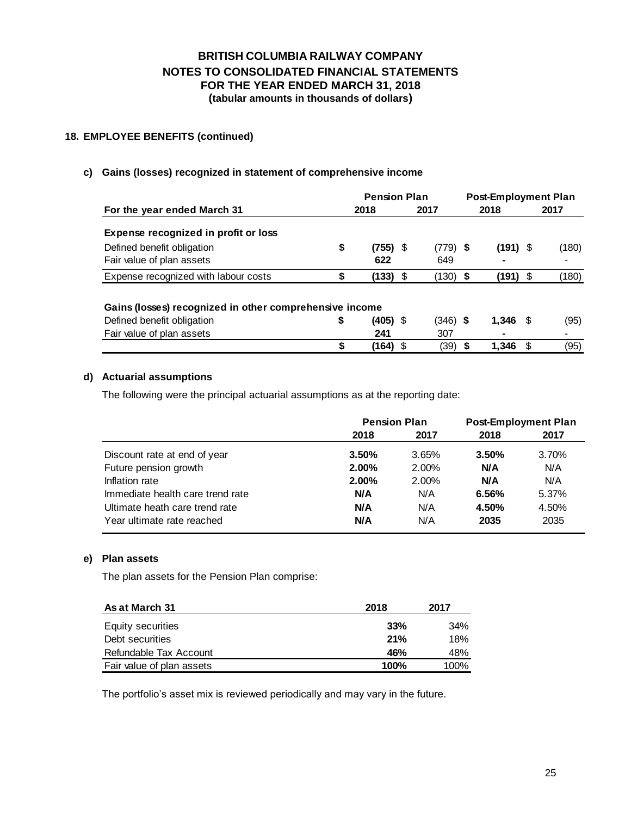# **18. EMPLOYEE BENEFITS (continued)**

## **c) Gains (losses) recognized in statement of comprehensive income**

|                                                         |      | <b>Pension Plan</b> |      |            | <b>Post-Employment Plan</b> |            |      |       |
|---------------------------------------------------------|------|---------------------|------|------------|-----------------------------|------------|------|-------|
| For the year ended March 31                             | 2018 |                     | 2017 |            | 2018                        |            | 2017 |       |
| Expense recognized in profit or loss                    |      |                     |      |            |                             |            |      |       |
| Defined benefit obligation                              | \$   | $(755)$ \$          |      | $(779)$ \$ |                             | $(191)$ \$ |      | (180) |
| Fair value of plan assets                               |      | 622                 |      | 649        |                             | ۰          |      |       |
| Expense recognized with labour costs                    |      | $(133)$ \$          |      | (130) \$   |                             | $(191)$ \$ |      | (180) |
| Gains (losses) recognized in other comprehensive income |      |                     |      |            |                             |            |      |       |
| Defined benefit obligation                              | \$   | (405) \$            |      | $(346)$ \$ |                             | $1,346$ \$ |      | (95)  |
| Fair value of plan assets                               |      | 241                 |      | 307        |                             | ۰          |      |       |
|                                                         |      | (164) \$            |      | (39)       |                             | 1,346      | \$   | (95)  |

## **d) Actuarial assumptions**

The following were the principal actuarial assumptions as at the reporting date:

|                                  |            | <b>Pension Plan</b> | <b>Post-Employment Plan</b> |       |  |  |
|----------------------------------|------------|---------------------|-----------------------------|-------|--|--|
|                                  | 2018       | 2017                | 2018                        | 2017  |  |  |
| Discount rate at end of year     | 3.50%      | 3.65%               | 3.50%                       | 3.70% |  |  |
| Future pension growth            | 2.00%      | $2.00\%$            | N/A                         | N/A   |  |  |
| Inflation rate                   | 2.00%      | $2.00\%$            | N/A                         | N/A   |  |  |
| Immediate health care trend rate | <b>N/A</b> | N/A                 | 6.56%                       | 5.37% |  |  |
| Ultimate heath care trend rate   | <b>N/A</b> | N/A                 | 4.50%                       | 4.50% |  |  |
| Year ultimate rate reached       | N/A        | N/A                 | 2035                        | 2035  |  |  |

## **e) Plan assets**

The plan assets for the Pension Plan comprise:

| As at March 31            | 2018        | 2017 |  |  |
|---------------------------|-------------|------|--|--|
| Equity securities         | 33%         | 34%  |  |  |
| Debt securities           | 21%         | 18%  |  |  |
| Refundable Tax Account    | 46%         | 48%  |  |  |
| Fair value of plan assets | <b>100%</b> | 100% |  |  |

The portfolio's asset mix is reviewed periodically and may vary in the future.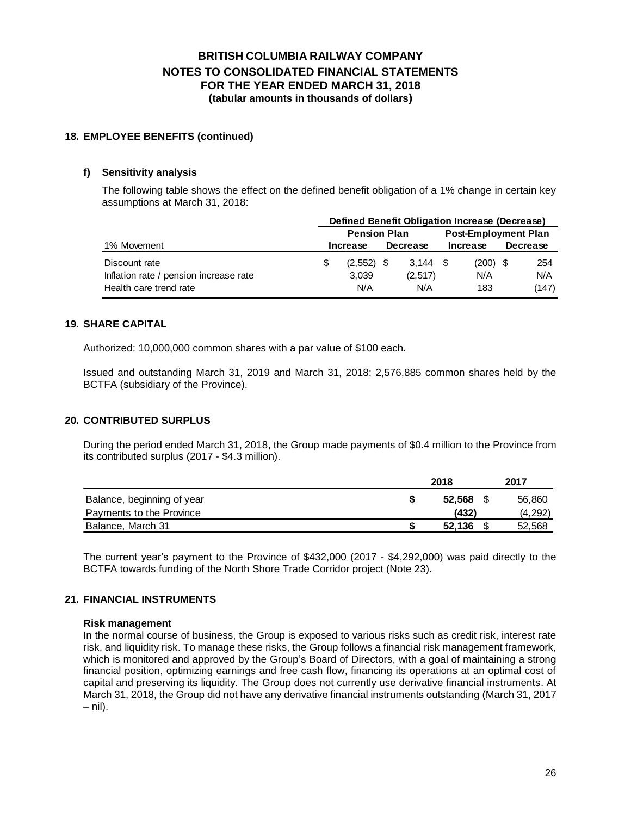#### **18. EMPLOYEE BENEFITS (continued)**

#### **f) Sensitivity analysis**

The following table shows the effect on the defined benefit obligation of a 1% change in certain key assumptions at March 31, 2018:

|                                        | Defined Benefit Obligation Increase (Decrease) |              |  |          |                             |            |  |          |  |
|----------------------------------------|------------------------------------------------|--------------|--|----------|-----------------------------|------------|--|----------|--|
|                                        | <b>Pension Plan</b>                            |              |  |          | <b>Post-Employment Plan</b> |            |  |          |  |
| 1% Movement                            |                                                | Increase     |  | Decrease |                             | Increase   |  | Decrease |  |
| Discount rate                          |                                                | $(2,552)$ \$ |  | 3.144    | - \$                        | $(200)$ \$ |  | 254      |  |
| Inflation rate / pension increase rate |                                                | 3.039        |  | (2,517)  |                             | N/A        |  | N/A      |  |
| Health care trend rate                 |                                                | N/A          |  | N/A      |                             | 183        |  | (147)    |  |

#### **19. SHARE CAPITAL**

Authorized: 10,000,000 common shares with a par value of \$100 each.

Issued and outstanding March 31, 2019 and March 31, 2018: 2,576,885 common shares held by the BCTFA (subsidiary of the Province).

#### **20. CONTRIBUTED SURPLUS**

During the period ended March 31, 2018, the Group made payments of \$0.4 million to the Province from its contributed surplus (2017 - \$4.3 million).

|                            | 2018   | 2017    |
|----------------------------|--------|---------|
| Balance, beginning of year | 52.568 | 56.860  |
| Payments to the Province   | (432)  | (4,292) |
| Balance, March 31          | 52.136 | 52,568  |

The current year's payment to the Province of \$432,000 (2017 - \$4,292,000) was paid directly to the BCTFA towards funding of the North Shore Trade Corridor project (Note 23).

#### **21. FINANCIAL INSTRUMENTS**

#### **Risk management**

In the normal course of business, the Group is exposed to various risks such as credit risk, interest rate risk, and liquidity risk. To manage these risks, the Group follows a financial risk management framework, which is monitored and approved by the Group's Board of Directors, with a goal of maintaining a strong financial position, optimizing earnings and free cash flow, financing its operations at an optimal cost of capital and preserving its liquidity. The Group does not currently use derivative financial instruments. At March 31, 2018, the Group did not have any derivative financial instruments outstanding (March 31, 2017  $-$  nil).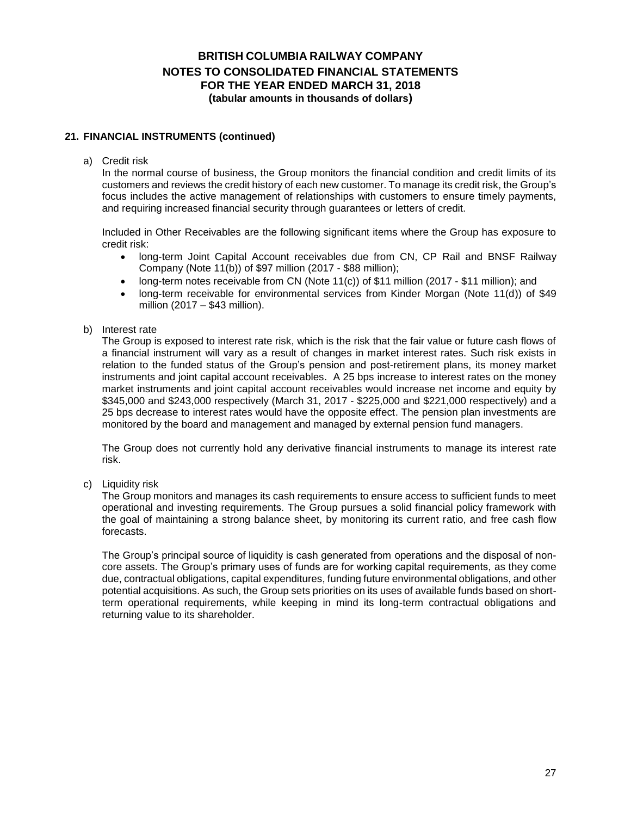## **21. FINANCIAL INSTRUMENTS (continued)**

a) Credit risk

In the normal course of business, the Group monitors the financial condition and credit limits of its customers and reviews the credit history of each new customer. To manage its credit risk, the Group's focus includes the active management of relationships with customers to ensure timely payments, and requiring increased financial security through guarantees or letters of credit.

Included in Other Receivables are the following significant items where the Group has exposure to credit risk:

- long-term Joint Capital Account receivables due from CN, CP Rail and BNSF Railway Company (Note 11(b)) of \$97 million (2017 - \$88 million);
- long-term notes receivable from CN (Note 11(c)) of \$11 million (2017 \$11 million); and
- long-term receivable for environmental services from Kinder Morgan (Note 11(d)) of \$49 million (2017 – \$43 million).

#### b) Interest rate

The Group is exposed to interest rate risk, which is the risk that the fair value or future cash flows of a financial instrument will vary as a result of changes in market interest rates. Such risk exists in relation to the funded status of the Group's pension and post-retirement plans, its money market instruments and joint capital account receivables. A 25 bps increase to interest rates on the money market instruments and joint capital account receivables would increase net income and equity by \$345,000 and \$243,000 respectively (March 31, 2017 - \$225,000 and \$221,000 respectively) and a 25 bps decrease to interest rates would have the opposite effect. The pension plan investments are monitored by the board and management and managed by external pension fund managers.

The Group does not currently hold any derivative financial instruments to manage its interest rate risk.

c) Liquidity risk

The Group monitors and manages its cash requirements to ensure access to sufficient funds to meet operational and investing requirements. The Group pursues a solid financial policy framework with the goal of maintaining a strong balance sheet, by monitoring its current ratio, and free cash flow forecasts.

The Group's principal source of liquidity is cash generated from operations and the disposal of noncore assets. The Group's primary uses of funds are for working capital requirements, as they come due, contractual obligations, capital expenditures, funding future environmental obligations, and other potential acquisitions. As such, the Group sets priorities on its uses of available funds based on shortterm operational requirements, while keeping in mind its long-term contractual obligations and returning value to its shareholder.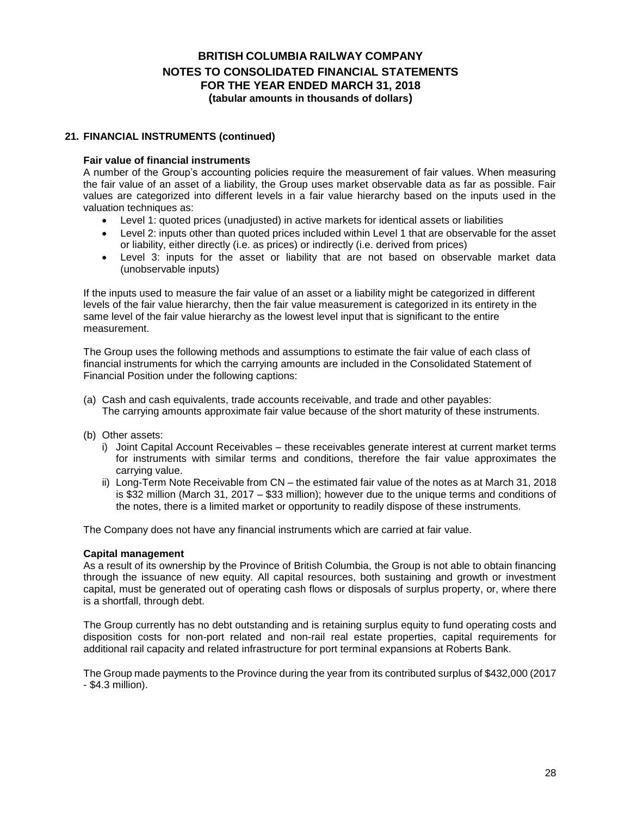### **21. FINANCIAL INSTRUMENTS (continued)**

#### **Fair value of financial instruments**

A number of the Group's accounting policies require the measurement of fair values. When measuring the fair value of an asset of a liability, the Group uses market observable data as far as possible. Fair values are categorized into different levels in a fair value hierarchy based on the inputs used in the valuation techniques as:

- Level 1: quoted prices (unadjusted) in active markets for identical assets or liabilities
- Level 2: inputs other than quoted prices included within Level 1 that are observable for the asset or liability, either directly (i.e. as prices) or indirectly (i.e. derived from prices)
- Level 3: inputs for the asset or liability that are not based on observable market data (unobservable inputs)

If the inputs used to measure the fair value of an asset or a liability might be categorized in different levels of the fair value hierarchy, then the fair value measurement is categorized in its entirety in the same level of the fair value hierarchy as the lowest level input that is significant to the entire measurement.

The Group uses the following methods and assumptions to estimate the fair value of each class of financial instruments for which the carrying amounts are included in the Consolidated Statement of Financial Position under the following captions:

- (a) Cash and cash equivalents, trade accounts receivable, and trade and other payables: The carrying amounts approximate fair value because of the short maturity of these instruments.
- (b) Other assets:
	- i) Joint Capital Account Receivables these receivables generate interest at current market terms for instruments with similar terms and conditions, therefore the fair value approximates the carrying value.
	- ii) Long-Term Note Receivable from CN the estimated fair value of the notes as at March 31, 2018 is \$32 million (March 31, 2017 – \$33 million); however due to the unique terms and conditions of the notes, there is a limited market or opportunity to readily dispose of these instruments.

The Company does not have any financial instruments which are carried at fair value.

#### **Capital management**

As a result of its ownership by the Province of British Columbia, the Group is not able to obtain financing through the issuance of new equity. All capital resources, both sustaining and growth or investment capital, must be generated out of operating cash flows or disposals of surplus property, or, where there is a shortfall, through debt.

The Group currently has no debt outstanding and is retaining surplus equity to fund operating costs and disposition costs for non-port related and non-rail real estate properties, capital requirements for additional rail capacity and related infrastructure for port terminal expansions at Roberts Bank.

The Group made payments to the Province during the year from its contributed surplus of \$432,000 (2017 - \$4.3 million).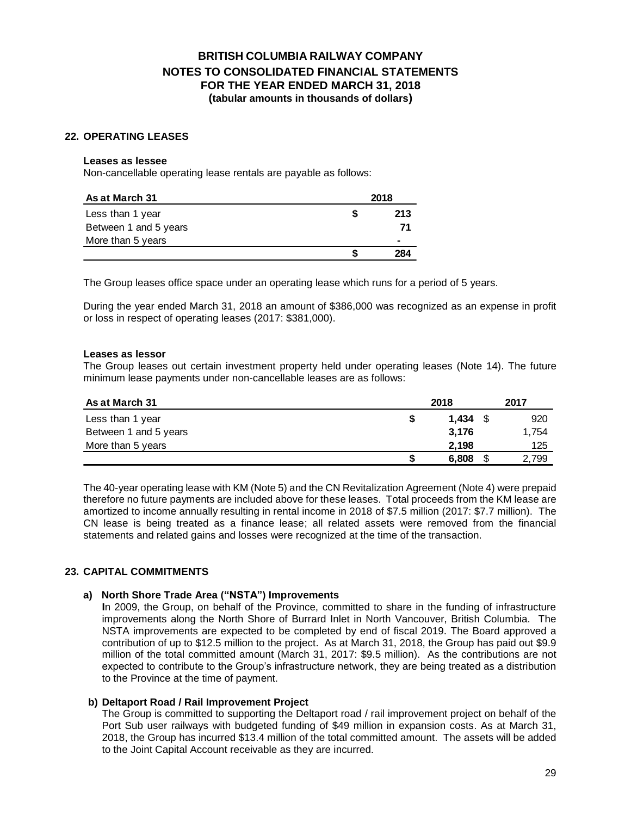#### **22. OPERATING LEASES**

#### **Leases as lessee**

Non-cancellable operating lease rentals are payable as follows:

| As at March 31        | 2018 |
|-----------------------|------|
| Less than 1 year      | 213  |
| Between 1 and 5 years | 71   |
| More than 5 years     |      |
|                       | 284  |

The Group leases office space under an operating lease which runs for a period of 5 years.

During the year ended March 31, 2018 an amount of \$386,000 was recognized as an expense in profit or loss in respect of operating leases (2017: \$381,000).

#### **Leases as lessor**

The Group leases out certain investment property held under operating leases (Note 14). The future minimum lease payments under non-cancellable leases are as follows:

| As at March 31        | 2018 |       |   | 2017  |
|-----------------------|------|-------|---|-------|
| Less than 1 year      | \$   | 1.434 |   | 920   |
| Between 1 and 5 years |      | 3,176 |   | 1,754 |
| More than 5 years     |      | 2.198 |   | 125   |
|                       | \$   | 6,808 | S | 2,799 |

The 40-year operating lease with KM (Note 5) and the CN Revitalization Agreement (Note 4) were prepaid therefore no future payments are included above for these leases. Total proceeds from the KM lease are amortized to income annually resulting in rental income in 2018 of \$7.5 million (2017: \$7.7 million). The CN lease is being treated as a finance lease; all related assets were removed from the financial statements and related gains and losses were recognized at the time of the transaction.

## **23. CAPITAL COMMITMENTS**

#### **a) North Shore Trade Area ("NSTA") Improvements**

**I**n 2009, the Group, on behalf of the Province, committed to share in the funding of infrastructure improvements along the North Shore of Burrard Inlet in North Vancouver, British Columbia. The NSTA improvements are expected to be completed by end of fiscal 2019. The Board approved a contribution of up to \$12.5 million to the project. As at March 31, 2018, the Group has paid out \$9.9 million of the total committed amount (March 31, 2017: \$9.5 million). As the contributions are not expected to contribute to the Group's infrastructure network, they are being treated as a distribution to the Province at the time of payment. **As at March 31**<br>
Less than 1 year<br>
Between 1 and 5 years<br>
More than 5 years<br>
More than 5 years<br>
More than 5 years<br>
More than 5 years<br>
The Group leases office space under an operating lease which runs<br>
or loss in respect o

#### **b) Deltaport Road / Rail Improvement Project**

The Group is committed to supporting the Deltaport road / rail improvement project on behalf of the Port Sub user railways with budgeted funding of \$49 million in expansion costs. As at March 31, 2018, the Group has incurred \$13.4 million of the total committed amount. The assets will be added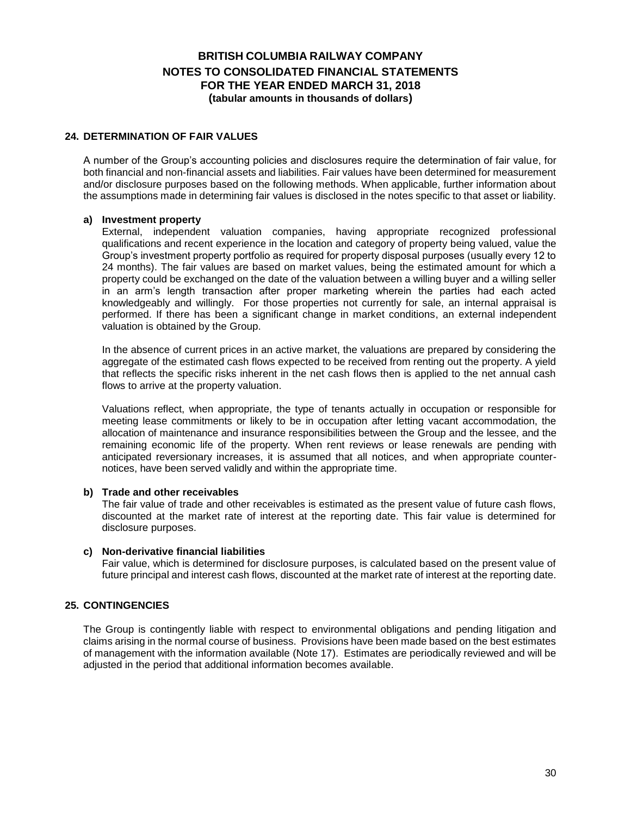#### **24. DETERMINATION OF FAIR VALUES**

A number of the Group's accounting policies and disclosures require the determination of fair value, for both financial and non-financial assets and liabilities. Fair values have been determined for measurement and/or disclosure purposes based on the following methods. When applicable, further information about the assumptions made in determining fair values is disclosed in the notes specific to that asset or liability.

#### **a) Investment property**

External, independent valuation companies, having appropriate recognized professional qualifications and recent experience in the location and category of property being valued, value the Group's investment property portfolio as required for property disposal purposes (usually every 12 to 24 months). The fair values are based on market values, being the estimated amount for which a property could be exchanged on the date of the valuation between a willing buyer and a willing seller in an arm's length transaction after proper marketing wherein the parties had each acted knowledgeably and willingly. For those properties not currently for sale, an internal appraisal is performed. If there has been a significant change in market conditions, an external independent valuation is obtained by the Group.

In the absence of current prices in an active market, the valuations are prepared by considering the aggregate of the estimated cash flows expected to be received from renting out the property. A yield that reflects the specific risks inherent in the net cash flows then is applied to the net annual cash flows to arrive at the property valuation.

Valuations reflect, when appropriate, the type of tenants actually in occupation or responsible for meeting lease commitments or likely to be in occupation after letting vacant accommodation, the allocation of maintenance and insurance responsibilities between the Group and the lessee, and the remaining economic life of the property. When rent reviews or lease renewals are pending with anticipated reversionary increases, it is assumed that all notices, and when appropriate counternotices, have been served validly and within the appropriate time.

#### **b) Trade and other receivables**

The fair value of trade and other receivables is estimated as the present value of future cash flows, discounted at the market rate of interest at the reporting date. This fair value is determined for disclosure purposes.

#### **c) Non-derivative financial liabilities**

Fair value, which is determined for disclosure purposes, is calculated based on the present value of future principal and interest cash flows, discounted at the market rate of interest at the reporting date.

## **25. CONTINGENCIES**

The Group is contingently liable with respect to environmental obligations and pending litigation and claims arising in the normal course of business. Provisions have been made based on the best estimates of management with the information available (Note 17). Estimates are periodically reviewed and will be adjusted in the period that additional information becomes available.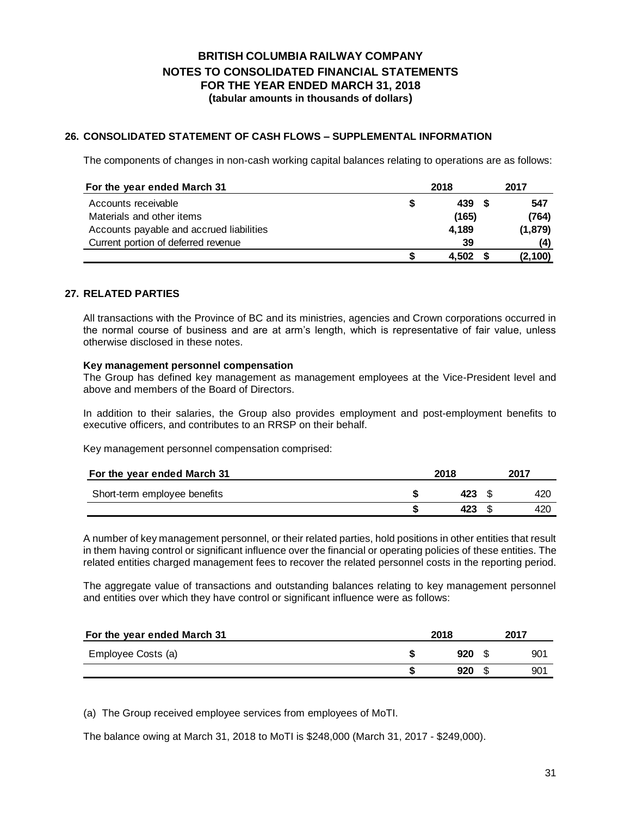## **26. CONSOLIDATED STATEMENT OF CASH FLOWS – SUPPLEMENTAL INFORMATION**

The components of changes in non-cash working capital balances relating to operations are as follows:

| For the year ended March 31              |   | 2018  | 2017     |
|------------------------------------------|---|-------|----------|
| Accounts receivable                      | 5 | 439   | 547      |
| Materials and other items                |   | (165) | (764)    |
| Accounts payable and accrued liabilities |   | 4.189 | (1, 879) |
| Current portion of deferred revenue      |   | 39    | (4)      |
|                                          |   | 4.502 | (2,100)  |

#### **27. RELATED PARTIES**

All transactions with the Province of BC and its ministries, agencies and Crown corporations occurred in the normal course of business and are at arm's length, which is representative of fair value, unless otherwise disclosed in these notes.

#### **Key management personnel compensation**

The Group has defined key management as management employees at the Vice-President level and above and members of the Board of Directors.

In addition to their salaries, the Group also provides employment and post-employment benefits to executive officers, and contributes to an RRSP on their behalf.

Key management personnel compensation comprised:

| For the year ended March 31  | 2018 | 2017 |
|------------------------------|------|------|
| Short-term employee benefits | 423  | 420  |
|                              | 423  | 42C  |

A number of key management personnel, or their related parties, hold positions in other entities that result in them having control or significant influence over the financial or operating policies of these entities. The related entities charged management fees to recover the related personnel costs in the reporting period.

The aggregate value of transactions and outstanding balances relating to key management personnel and entities over which they have control or significant influence were as follows:

| For the year ended March 31 | 2018 | 2017         |
|-----------------------------|------|--------------|
| Employee Costs (a)          | 920  | $90^{\circ}$ |
|                             | 920  | 90'          |

(a) The Group received employee services from employees of MoTI.

The balance owing at March 31, 2018 to MoTI is \$248,000 (March 31, 2017 - \$249,000).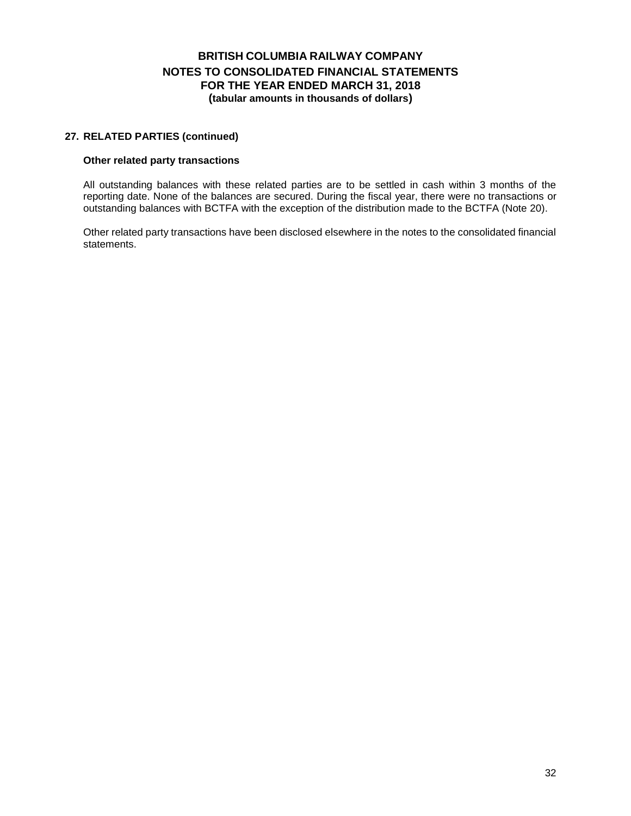#### **27. RELATED PARTIES (continued)**

#### **Other related party transactions**

All outstanding balances with these related parties are to be settled in cash within 3 months of the reporting date. None of the balances are secured. During the fiscal year, there were no transactions or outstanding balances with BCTFA with the exception of the distribution made to the BCTFA (Note 20).

Other related party transactions have been disclosed elsewhere in the notes to the consolidated financial statements.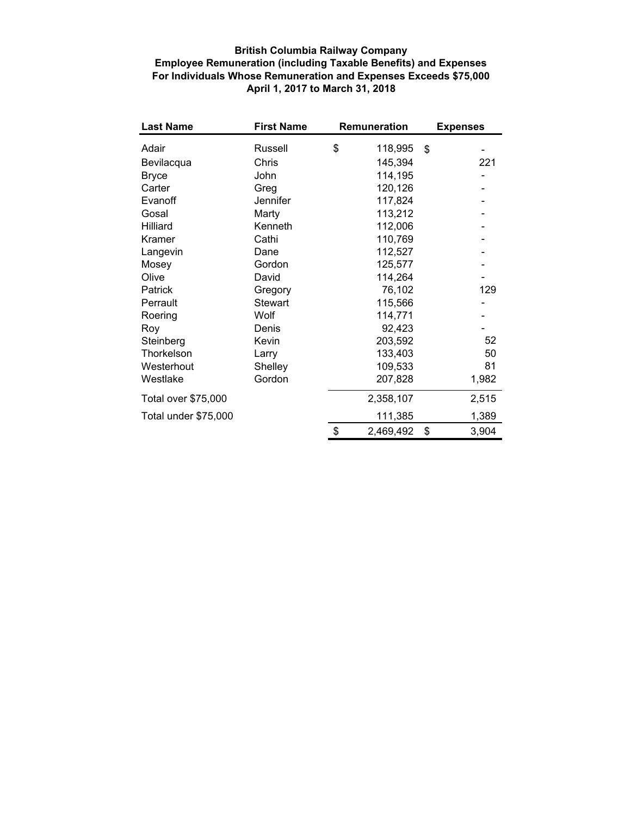## **British Columbia Railway Company Employee Remuneration (including Taxable Benefits) and Expenses For Individuals Whose Remuneration and Expenses Exceeds \$75,000 April 1, 2017 to March 31, 2018**

| <b>Last Name</b>     | <b>First Name</b> | Remuneration |           | <b>Expenses</b> |
|----------------------|-------------------|--------------|-----------|-----------------|
| Adair                | Russell           | \$           | 118,995   | \$              |
| Bevilacqua           | Chris             |              | 145,394   | 221             |
| <b>Bryce</b>         | John              |              | 114,195   |                 |
| Carter               | Greg              |              | 120,126   |                 |
| Evanoff              | Jennifer          |              | 117,824   |                 |
| Gosal                | Marty             |              | 113,212   |                 |
| Hilliard             | Kenneth           |              | 112,006   |                 |
| Kramer               | Cathi             |              | 110,769   |                 |
| Langevin             | Dane              |              | 112,527   |                 |
| Mosey                | Gordon            |              | 125,577   |                 |
| Olive                | David             |              | 114,264   |                 |
| Patrick              | Gregory           |              | 76,102    | 129             |
| Perrault             | <b>Stewart</b>    |              | 115,566   |                 |
| Roering              | Wolf              |              | 114,771   |                 |
| Roy                  | Denis             |              | 92,423    |                 |
| Steinberg            | Kevin             |              | 203,592   | 52              |
| Thorkelson           | Larry             |              | 133,403   | 50              |
| Westerhout           | Shelley           |              | 109,533   | 81              |
| Westlake             | Gordon            |              | 207,828   | 1,982           |
| Total over \$75,000  |                   |              | 2,358,107 | 2,515           |
| Total under \$75,000 |                   |              | 111,385   | 1,389           |
|                      |                   | \$           | 2,469,492 | \$<br>3,904     |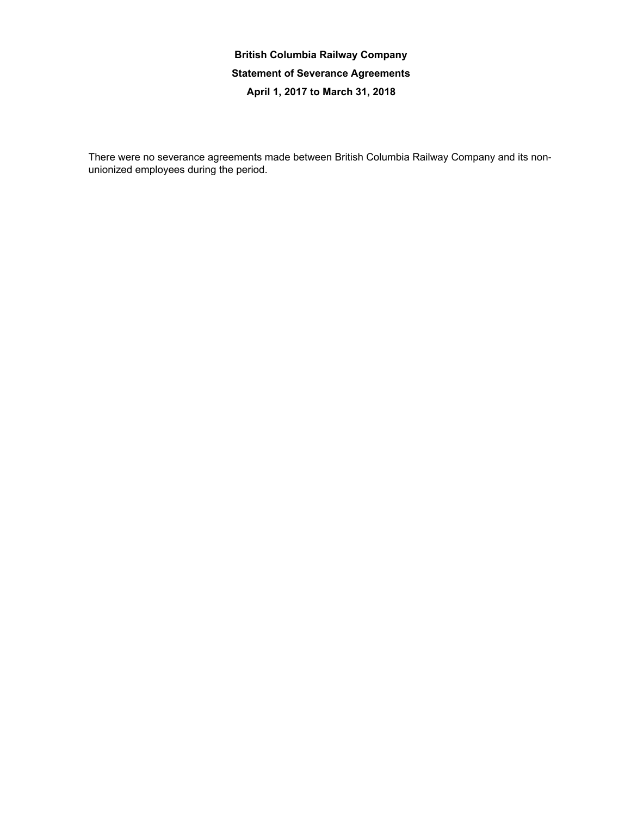**British Columbia Railway Company Statement of Severance Agreements April 1, 2017 to March 31, 2018**

There were no severance agreements made between British Columbia Railway Company and its nonunionized employees during the period.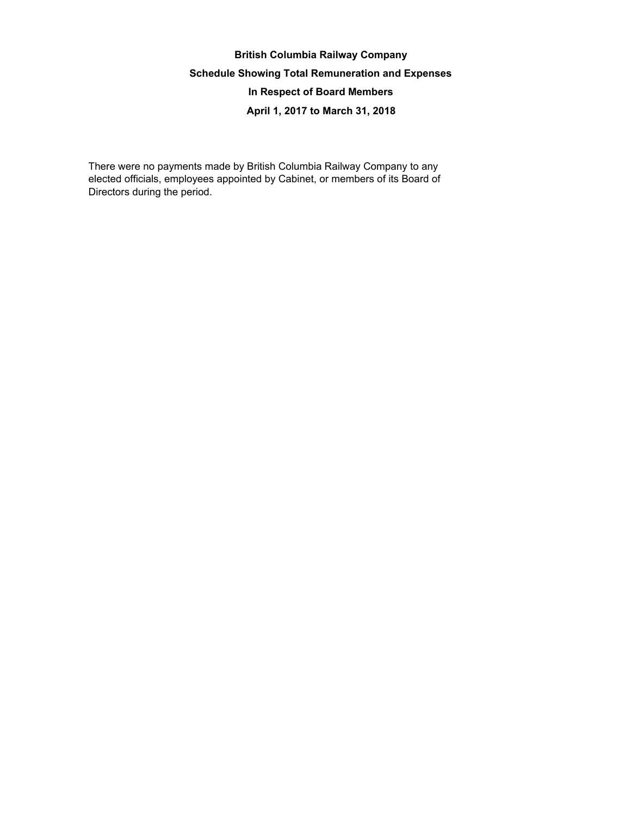# **British Columbia Railway Company Schedule Showing Total Remuneration and Expenses In Respect of Board Members April 1, 2017 to March 31, 2018**

There were no payments made by British Columbia Railway Company to any elected officials, employees appointed by Cabinet, or members of its Board of Directors during the period.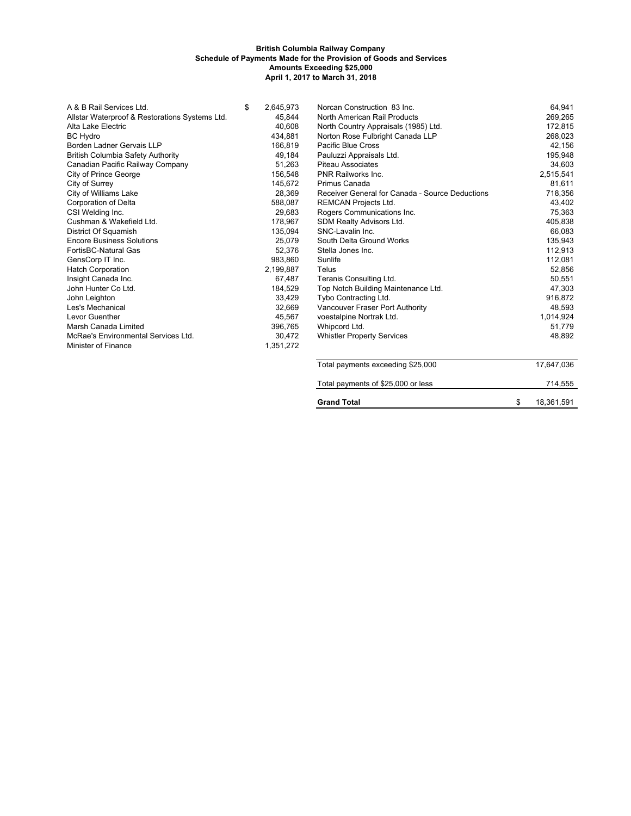#### **British Columbia Railway Company Schedule of Payments Made for the Provision of Goods and Services Amounts Exceeding \$25,000 April 1, 2017 to March 31, 2018**

| A & B Rail Services Ltd.                       | \$<br>2.645.973 | Norcan Construction 83 Inc.                     | 64,941    |
|------------------------------------------------|-----------------|-------------------------------------------------|-----------|
| Allstar Waterproof & Restorations Systems Ltd. | 45,844          | North American Rail Products                    | 269,265   |
| Alta Lake Electric                             | 40,608          | North Country Appraisals (1985) Ltd.            | 172,815   |
| <b>BC Hydro</b>                                | 434,881         | Norton Rose Fulbright Canada LLP                | 268,023   |
| Borden Ladner Gervais LLP                      | 166,819         | Pacific Blue Cross                              | 42,156    |
| <b>British Columbia Safety Authority</b>       | 49,184          | Pauluzzi Appraisals Ltd.                        | 195,948   |
| Canadian Pacific Railway Company               | 51,263          | Piteau Associates                               | 34,603    |
| City of Prince George                          | 156,548         | <b>PNR Railworks Inc.</b>                       | 2,515,541 |
| City of Surrey                                 | 145.672         | Primus Canada                                   | 81,611    |
| City of Williams Lake                          | 28,369          | Receiver General for Canada - Source Deductions | 718,356   |
| Corporation of Delta                           | 588.087         | <b>REMCAN Projects Ltd.</b>                     | 43,402    |
| CSI Welding Inc.                               | 29,683          | Rogers Communications Inc.                      | 75,363    |
| Cushman & Wakefield Ltd.                       | 178,967         | SDM Realty Advisors Ltd.                        | 405,838   |
| District Of Squamish                           | 135.094         | SNC-Lavalin Inc.                                | 66,083    |
| <b>Encore Business Solutions</b>               | 25,079          | South Delta Ground Works                        | 135,943   |
| FortisBC-Natural Gas                           | 52,376          | Stella Jones Inc.                               | 112,913   |
| GensCorp IT Inc.                               | 983.860         | Sunlife                                         | 112,081   |
| <b>Hatch Corporation</b>                       | 2,199,887       | Telus                                           | 52,856    |
| Insight Canada Inc.                            | 67,487          | Teranis Consulting Ltd.                         | 50,551    |
| John Hunter Co Ltd.                            | 184,529         | Top Notch Building Maintenance Ltd.             | 47,303    |
| John Leighton                                  | 33,429          | Tybo Contracting Ltd.                           | 916,872   |
| Les's Mechanical                               | 32,669          | Vancouver Fraser Port Authority                 | 48,593    |
| Levor Guenther                                 | 45,567          | voestalpine Nortrak Ltd.                        | 1,014,924 |
| Marsh Canada Limited                           | 396,765         | Whipcord Ltd.                                   | 51,779    |
| McRae's Environmental Services Ltd.            | 30,472          | <b>Whistler Property Services</b>               | 48,892    |
| Minister of Finance                            | 1,351,272       |                                                 |           |
|                                                |                 |                                                 |           |

| Total payments of \$25,000 or less | 714,555          |
|------------------------------------|------------------|
| Grand Total                        | \$<br>18,361,591 |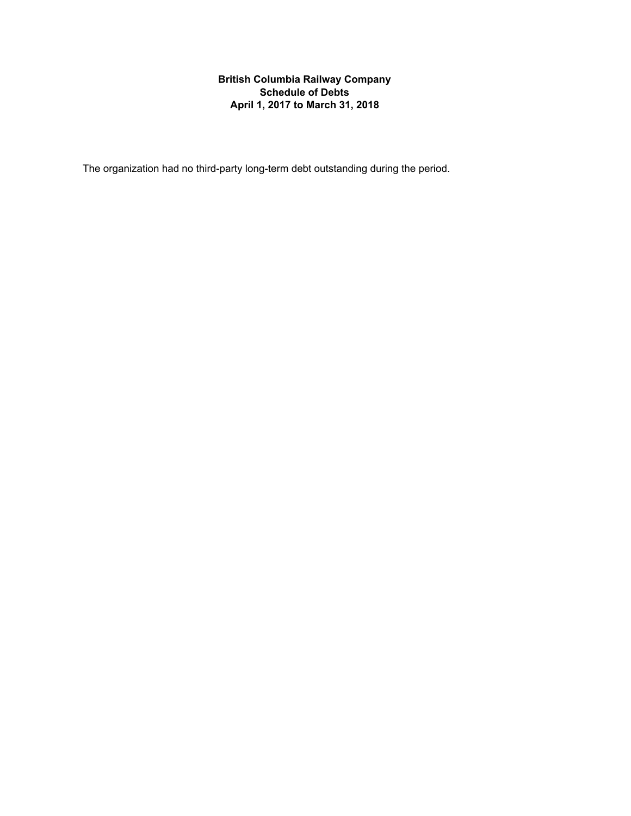## **Schedule of Debts April 1, 2017 to March 31, 2018 British Columbia Railway Company**

The organization had no third-party long-term debt outstanding during the period.